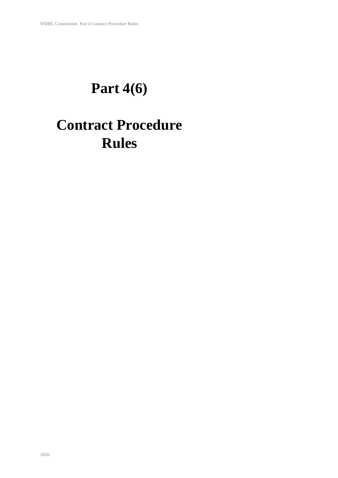# **Part 4(6)**

# **Contract Procedure Rules**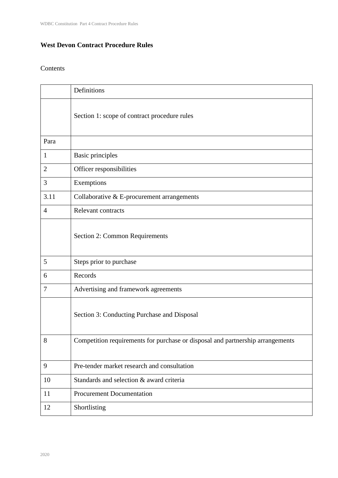### **West Devon Contract Procedure Rules**

### Contents

|                | Definitions                                                                    |
|----------------|--------------------------------------------------------------------------------|
|                | Section 1: scope of contract procedure rules                                   |
| Para           |                                                                                |
| 1              | <b>Basic principles</b>                                                        |
| $\overline{2}$ | Officer responsibilities                                                       |
| 3              | Exemptions                                                                     |
| 3.11           | Collaborative $&E$ -procurement arrangements                                   |
| 4              | Relevant contracts                                                             |
|                | Section 2: Common Requirements                                                 |
| 5              | Steps prior to purchase                                                        |
| 6              | Records                                                                        |
| 7              | Advertising and framework agreements                                           |
|                | Section 3: Conducting Purchase and Disposal                                    |
| 8              | Competition requirements for purchase or disposal and partnership arrangements |
| 9              | Pre-tender market research and consultation                                    |
| 10             | Standards and selection & award criteria                                       |
| 11             | <b>Procurement Documentation</b>                                               |
| 12             | Shortlisting                                                                   |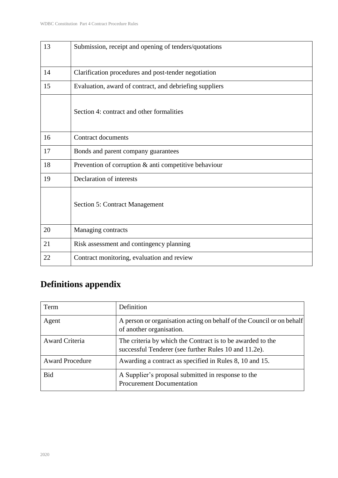| 13 | Submission, receipt and opening of tenders/quotations   |
|----|---------------------------------------------------------|
| 14 | Clarification procedures and post-tender negotiation    |
| 15 | Evaluation, award of contract, and debriefing suppliers |
|    | Section 4: contract and other formalities               |
| 16 | <b>Contract documents</b>                               |
| 17 | Bonds and parent company guarantees                     |
| 18 | Prevention of corruption & anti competitive behaviour   |
| 19 | Declaration of interests                                |
|    | <b>Section 5: Contract Management</b>                   |
| 20 | Managing contracts                                      |
| 21 | Risk assessment and contingency planning                |
| 22 | Contract monitoring, evaluation and review              |

# **Definitions appendix**

| Term                   | Definition                                                                                                          |
|------------------------|---------------------------------------------------------------------------------------------------------------------|
| Agent                  | A person or organisation acting on behalf of the Council or on behalf<br>of another organisation.                   |
| Award Criteria         | The criteria by which the Contract is to be awarded to the<br>successful Tenderer (see further Rules 10 and 11.2e). |
| <b>Award Procedure</b> | Awarding a contract as specified in Rules 8, 10 and 15.                                                             |
| <b>Bid</b>             | A Supplier's proposal submitted in response to the<br><b>Procurement Documentation</b>                              |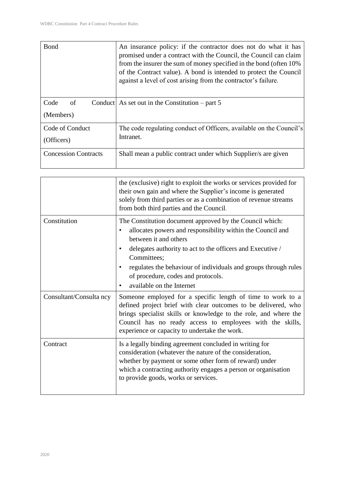| Bond                          | An insurance policy: if the contractor does not do what it has<br>promised under a contract with the Council, the Council can claim<br>from the insurer the sum of money specified in the bond (often 10%)<br>of the Contract value). A bond is intended to protect the Council<br>against a level of cost arising from the contractor's failure. |
|-------------------------------|---------------------------------------------------------------------------------------------------------------------------------------------------------------------------------------------------------------------------------------------------------------------------------------------------------------------------------------------------|
| Code<br>of<br>(Members)       | Conduct As set out in the Constitution – part 5                                                                                                                                                                                                                                                                                                   |
| Code of Conduct<br>(Officers) | The code regulating conduct of Officers, available on the Council's<br>Intranet.                                                                                                                                                                                                                                                                  |
| <b>Concession Contracts</b>   | Shall mean a public contract under which Supplier's are given                                                                                                                                                                                                                                                                                     |

|                         | the (exclusive) right to exploit the works or services provided for<br>their own gain and where the Supplier's income is generated<br>solely from third parties or as a combination of revenue streams<br>from both third parties and the Council.                                                                                                                              |
|-------------------------|---------------------------------------------------------------------------------------------------------------------------------------------------------------------------------------------------------------------------------------------------------------------------------------------------------------------------------------------------------------------------------|
| Constitution            | The Constitution document approved by the Council which:<br>allocates powers and responsibility within the Council and<br>$\bullet$<br>between it and others<br>delegates authority to act to the officers and Executive /<br>Committees:<br>regulates the behaviour of individuals and groups through rules<br>of procedure, codes and protocols.<br>available on the Internet |
| Consultant/Consulta ncy | Someone employed for a specific length of time to work to a<br>defined project brief with clear outcomes to be delivered, who<br>brings specialist skills or knowledge to the role, and where the<br>Council has no ready access to employees with the skills,<br>experience or capacity to undertake the work.                                                                 |
| Contract                | Is a legally binding agreement concluded in writing for<br>consideration (whatever the nature of the consideration,<br>whether by payment or some other form of reward) under<br>which a contracting authority engages a person or organisation<br>to provide goods, works or services.                                                                                         |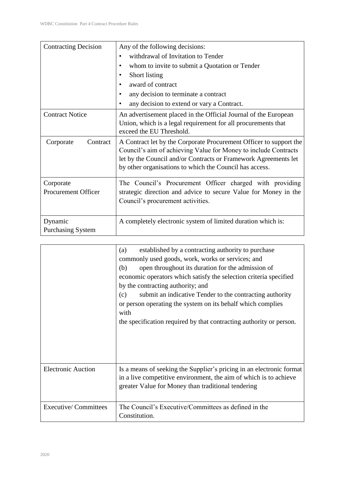| <b>Contracting Decision</b>             | Any of the following decisions:<br>withdrawal of Invitation to Tender<br>$\bullet$<br>whom to invite to submit a Quotation or Tender<br>$\bullet$<br>Short listing<br>٠<br>award of contract<br>٠<br>any decision to terminate a contract<br>٠<br>any decision to extend or vary a Contract.<br>$\bullet$ |
|-----------------------------------------|-----------------------------------------------------------------------------------------------------------------------------------------------------------------------------------------------------------------------------------------------------------------------------------------------------------|
| <b>Contract Notice</b>                  | An advertisement placed in the Official Journal of the European<br>Union, which is a legal requirement for all procurements that<br>exceed the EU Threshold.                                                                                                                                              |
| Corporate<br>Contract                   | A Contract let by the Corporate Procurement Officer to support the<br>Council's aim of achieving Value for Money to include Contracts<br>let by the Council and/or Contracts or Framework Agreements let<br>by other organisations to which the Council has access.                                       |
| Corporate<br><b>Procurement Officer</b> | The Council's Procurement Officer charged with providing<br>strategic direction and advice to secure Value for Money in the<br>Council's procurement activities.                                                                                                                                          |
| Dynamic<br><b>Purchasing System</b>     | A completely electronic system of limited duration which is:                                                                                                                                                                                                                                              |

|                             | established by a contracting authority to purchase<br>(a)<br>commonly used goods, work, works or services; and<br>open throughout its duration for the admission of<br>(b)<br>economic operators which satisfy the selection criteria specified<br>by the contracting authority; and<br>submit an indicative Tender to the contracting authority<br>(c)<br>or person operating the system on its behalf which complies<br>with<br>the specification required by that contracting authority or person. |
|-----------------------------|-------------------------------------------------------------------------------------------------------------------------------------------------------------------------------------------------------------------------------------------------------------------------------------------------------------------------------------------------------------------------------------------------------------------------------------------------------------------------------------------------------|
| <b>Electronic Auction</b>   | Is a means of seeking the Supplier's pricing in an electronic format<br>in a live competitive environment, the aim of which is to achieve<br>greater Value for Money than traditional tendering                                                                                                                                                                                                                                                                                                       |
| <b>Executive/Committees</b> | The Council's Executive/Committees as defined in the<br>Constitution.                                                                                                                                                                                                                                                                                                                                                                                                                                 |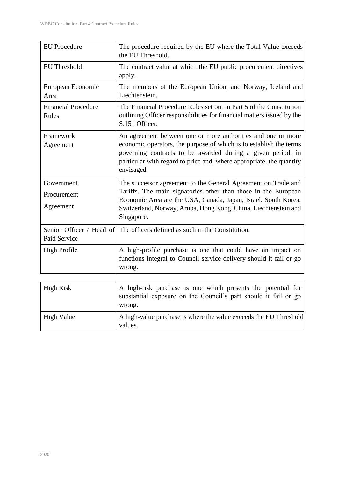| <b>EU</b> Procedure                    | The procedure required by the EU where the Total Value exceeds<br>the EU Threshold.                                                                                                                                                                                                     |
|----------------------------------------|-----------------------------------------------------------------------------------------------------------------------------------------------------------------------------------------------------------------------------------------------------------------------------------------|
| <b>EU</b> Threshold                    | The contract value at which the EU public procurement directives<br>apply.                                                                                                                                                                                                              |
| European Economic<br>Area              | The members of the European Union, and Norway, Iceland and<br>Liechtenstein.                                                                                                                                                                                                            |
| <b>Financial Procedure</b><br>Rules    | The Financial Procedure Rules set out in Part 5 of the Constitution<br>outlining Officer responsibilities for financial matters issued by the<br>S.151 Officer.                                                                                                                         |
| Framework<br>Agreement                 | An agreement between one or more authorities and one or more<br>economic operators, the purpose of which is to establish the terms<br>governing contracts to be awarded during a given period, in<br>particular with regard to price and, where appropriate, the quantity<br>envisaged. |
| Government<br>Procurement<br>Agreement | The successor agreement to the General Agreement on Trade and<br>Tariffs. The main signatories other than those in the European<br>Economic Area are the USA, Canada, Japan, Israel, South Korea,<br>Switzerland, Norway, Aruba, Hong Kong, China, Liechtenstein and<br>Singapore.      |
| Paid Service                           | Senior Officer / Head of The officers defined as such in the Constitution.                                                                                                                                                                                                              |
| <b>High Profile</b>                    | A high-profile purchase is one that could have an impact on<br>functions integral to Council service delivery should it fail or go<br>wrong.                                                                                                                                            |

| High Risk         | A high-risk purchase is one which presents the potential for<br>substantial exposure on the Council's part should it fail or go<br>wrong. |
|-------------------|-------------------------------------------------------------------------------------------------------------------------------------------|
| <b>High Value</b> | A high-value purchase is where the value exceeds the EU Threshold<br>values.                                                              |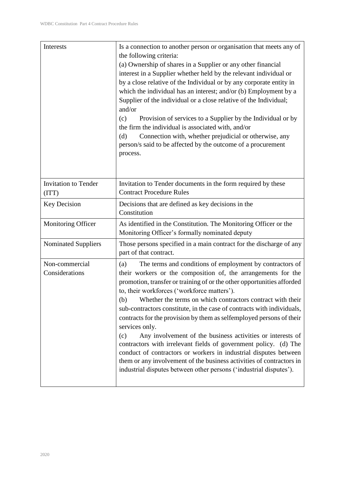| Interests                        | Is a connection to another person or organisation that meets any of<br>the following criteria:<br>(a) Ownership of shares in a Supplier or any other financial<br>interest in a Supplier whether held by the relevant individual or<br>by a close relative of the Individual or by any corporate entity in<br>which the individual has an interest; and/or (b) Employment by a<br>Supplier of the individual or a close relative of the Individual;<br>and/or<br>Provision of services to a Supplier by the Individual or by<br>(c)<br>the firm the individual is associated with, and/or<br>Connection with, whether prejudicial or otherwise, any<br>(d)<br>person/s said to be affected by the outcome of a procurement<br>process.                                                                                                                        |
|----------------------------------|---------------------------------------------------------------------------------------------------------------------------------------------------------------------------------------------------------------------------------------------------------------------------------------------------------------------------------------------------------------------------------------------------------------------------------------------------------------------------------------------------------------------------------------------------------------------------------------------------------------------------------------------------------------------------------------------------------------------------------------------------------------------------------------------------------------------------------------------------------------|
| Invitation to Tender<br>(TTT)    | Invitation to Tender documents in the form required by these<br><b>Contract Procedure Rules</b>                                                                                                                                                                                                                                                                                                                                                                                                                                                                                                                                                                                                                                                                                                                                                               |
| Key Decision                     | Decisions that are defined as key decisions in the<br>Constitution                                                                                                                                                                                                                                                                                                                                                                                                                                                                                                                                                                                                                                                                                                                                                                                            |
| <b>Monitoring Officer</b>        | As identified in the Constitution. The Monitoring Officer or the<br>Monitoring Officer's formally nominated deputy                                                                                                                                                                                                                                                                                                                                                                                                                                                                                                                                                                                                                                                                                                                                            |
| <b>Nominated Suppliers</b>       | Those persons specified in a main contract for the discharge of any<br>part of that contract.                                                                                                                                                                                                                                                                                                                                                                                                                                                                                                                                                                                                                                                                                                                                                                 |
| Non-commercial<br>Considerations | The terms and conditions of employment by contractors of<br>(a)<br>their workers or the composition of, the arrangements for the<br>promotion, transfer or training of or the other opportunities afforded<br>to, their workforces ('workforce matters').<br>Whether the terms on which contractors contract with their<br>(b)<br>sub-contractors constitute, in the case of contracts with individuals,<br>contracts for the provision by them as selfemployed persons of their<br>services only.<br>Any involvement of the business activities or interests of<br>(c)<br>contractors with irrelevant fields of government policy. (d) The<br>conduct of contractors or workers in industrial disputes between<br>them or any involvement of the business activities of contractors in<br>industrial disputes between other persons ('industrial disputes'). |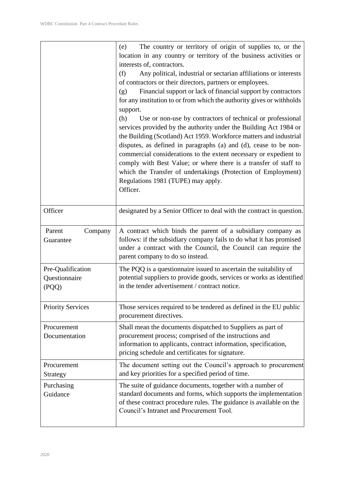|                                             | The country or territory of origin of supplies to, or the<br>(e)<br>location in any country or territory of the business activities or<br>interests of, contractors.<br>(f)<br>Any political, industrial or sectarian affiliations or interests<br>of contractors or their directors, partners or employees.<br>Financial support or lack of financial support by contractors<br>(g)<br>for any institution to or from which the authority gives or withholds<br>support.<br>(h)<br>Use or non-use by contractors of technical or professional<br>services provided by the authority under the Building Act 1984 or<br>the Building (Scotland) Act 1959. Workforce matters and industrial<br>disputes, as defined in paragraphs (a) and (d), cease to be non-<br>commercial considerations to the extent necessary or expedient to<br>comply with Best Value; or where there is a transfer of staff to<br>which the Transfer of undertakings (Protection of Employment)<br>Regulations 1981 (TUPE) may apply.<br>Officer. |
|---------------------------------------------|---------------------------------------------------------------------------------------------------------------------------------------------------------------------------------------------------------------------------------------------------------------------------------------------------------------------------------------------------------------------------------------------------------------------------------------------------------------------------------------------------------------------------------------------------------------------------------------------------------------------------------------------------------------------------------------------------------------------------------------------------------------------------------------------------------------------------------------------------------------------------------------------------------------------------------------------------------------------------------------------------------------------------|
| Officer                                     | designated by a Senior Officer to deal with the contract in question.                                                                                                                                                                                                                                                                                                                                                                                                                                                                                                                                                                                                                                                                                                                                                                                                                                                                                                                                                     |
| Parent<br>Company<br>Guarantee              | A contract which binds the parent of a subsidiary company as<br>follows: if the subsidiary company fails to do what it has promised<br>under a contract with the Council, the Council can require the<br>parent company to do so instead.                                                                                                                                                                                                                                                                                                                                                                                                                                                                                                                                                                                                                                                                                                                                                                                 |
| Pre-Qualification<br>Questionnaire<br>(PQQ) | The PQQ is a question aire issued to ascertain the suitability of<br>potential suppliers to provide goods, services or works as identified<br>in the tender advertisement / contract notice.                                                                                                                                                                                                                                                                                                                                                                                                                                                                                                                                                                                                                                                                                                                                                                                                                              |
| <b>Priority Services</b>                    | Those services required to be tendered as defined in the EU public<br>procurement directives.                                                                                                                                                                                                                                                                                                                                                                                                                                                                                                                                                                                                                                                                                                                                                                                                                                                                                                                             |
| Procurement<br>Documentation                | Shall mean the documents dispatched to Suppliers as part of<br>procurement process; comprised of the instructions and<br>information to applicants, contract information, specification,<br>pricing schedule and certificates for signature.                                                                                                                                                                                                                                                                                                                                                                                                                                                                                                                                                                                                                                                                                                                                                                              |
| Procurement<br>Strategy                     | The document setting out the Council's approach to procurement<br>and key priorities for a specified period of time.                                                                                                                                                                                                                                                                                                                                                                                                                                                                                                                                                                                                                                                                                                                                                                                                                                                                                                      |
| Purchasing<br>Guidance                      | The suite of guidance documents, together with a number of<br>standard documents and forms, which supports the implementation<br>of these contract procedure rules. The guidance is available on the<br>Council's Intranet and Procurement Tool.                                                                                                                                                                                                                                                                                                                                                                                                                                                                                                                                                                                                                                                                                                                                                                          |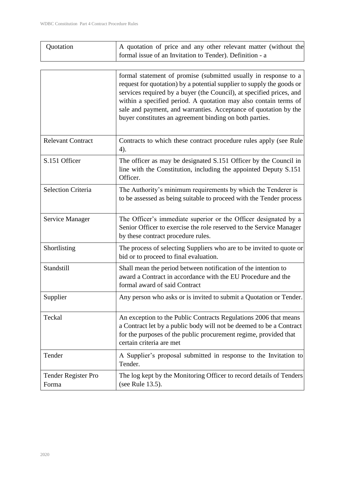| Quotation | A quotation of price and any other relevant matter (without the |
|-----------|-----------------------------------------------------------------|
|           | formal issue of an Invitation to Tender). Definition - a        |

|                              | formal statement of promise (submitted usually in response to a<br>request for quotation) by a potential supplier to supply the goods or<br>services required by a buyer (the Council), at specified prices, and<br>within a specified period. A quotation may also contain terms of<br>sale and payment, and warranties. Acceptance of quotation by the<br>buyer constitutes an agreement binding on both parties. |
|------------------------------|---------------------------------------------------------------------------------------------------------------------------------------------------------------------------------------------------------------------------------------------------------------------------------------------------------------------------------------------------------------------------------------------------------------------|
| <b>Relevant Contract</b>     | Contracts to which these contract procedure rules apply (see Rule<br>4).                                                                                                                                                                                                                                                                                                                                            |
| S.151 Officer                | The officer as may be designated S.151 Officer by the Council in<br>line with the Constitution, including the appointed Deputy S.151<br>Officer.                                                                                                                                                                                                                                                                    |
| <b>Selection Criteria</b>    | The Authority's minimum requirements by which the Tenderer is<br>to be assessed as being suitable to proceed with the Tender process                                                                                                                                                                                                                                                                                |
| Service Manager              | The Officer's immediate superior or the Officer designated by a<br>Senior Officer to exercise the role reserved to the Service Manager<br>by these contract procedure rules.                                                                                                                                                                                                                                        |
| Shortlisting                 | The process of selecting Suppliers who are to be invited to quote or<br>bid or to proceed to final evaluation.                                                                                                                                                                                                                                                                                                      |
| Standstill                   | Shall mean the period between notification of the intention to<br>award a Contract in accordance with the EU Procedure and the<br>formal award of said Contract                                                                                                                                                                                                                                                     |
| Supplier                     | Any person who asks or is invited to submit a Quotation or Tender.                                                                                                                                                                                                                                                                                                                                                  |
| Teckal                       | An exception to the Public Contracts Regulations 2006 that means<br>a Contract let by a public body will not be deemed to be a Contract<br>for the purposes of the public procurement regime, provided that<br>certain criteria are met                                                                                                                                                                             |
| Tender                       | A Supplier's proposal submitted in response to the Invitation to<br>Tender.                                                                                                                                                                                                                                                                                                                                         |
| Tender Register Pro<br>Forma | The log kept by the Monitoring Officer to record details of Tenders<br>(see Rule 13.5).                                                                                                                                                                                                                                                                                                                             |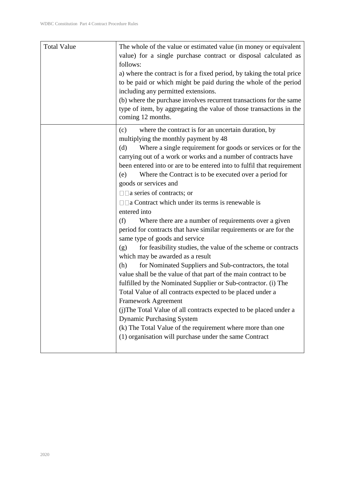| <b>Total Value</b> | The whole of the value or estimated value (in money or equivalent<br>value) for a single purchase contract or disposal calculated as<br>follows:<br>a) where the contract is for a fixed period, by taking the total price<br>to be paid or which might be paid during the whole of the period<br>including any permitted extensions.<br>(b) where the purchase involves recurrent transactions for the same<br>type of item, by aggregating the value of those transactions in the<br>coming 12 months. |
|--------------------|----------------------------------------------------------------------------------------------------------------------------------------------------------------------------------------------------------------------------------------------------------------------------------------------------------------------------------------------------------------------------------------------------------------------------------------------------------------------------------------------------------|
|                    | where the contract is for an uncertain duration, by<br>(c)<br>multiplying the monthly payment by 48                                                                                                                                                                                                                                                                                                                                                                                                      |
|                    | Where a single requirement for goods or services or for the<br>(d)<br>carrying out of a work or works and a number of contracts have                                                                                                                                                                                                                                                                                                                                                                     |
|                    | been entered into or are to be entered into to fulfil that requirement                                                                                                                                                                                                                                                                                                                                                                                                                                   |
|                    | Where the Contract is to be executed over a period for<br>(e)                                                                                                                                                                                                                                                                                                                                                                                                                                            |
|                    | goods or services and                                                                                                                                                                                                                                                                                                                                                                                                                                                                                    |
|                    | $\Box$ a series of contracts; or                                                                                                                                                                                                                                                                                                                                                                                                                                                                         |
|                    | $\Box$ a Contract which under its terms is renewable is                                                                                                                                                                                                                                                                                                                                                                                                                                                  |
|                    | entered into                                                                                                                                                                                                                                                                                                                                                                                                                                                                                             |
|                    | Where there are a number of requirements over a given<br>(f)                                                                                                                                                                                                                                                                                                                                                                                                                                             |
|                    | period for contracts that have similar requirements or are for the<br>same type of goods and service                                                                                                                                                                                                                                                                                                                                                                                                     |
|                    | for feasibility studies, the value of the scheme or contracts<br>(g)<br>which may be awarded as a result                                                                                                                                                                                                                                                                                                                                                                                                 |
|                    | for Nominated Suppliers and Sub-contractors, the total<br>(h)                                                                                                                                                                                                                                                                                                                                                                                                                                            |
|                    | value shall be the value of that part of the main contract to be                                                                                                                                                                                                                                                                                                                                                                                                                                         |
|                    | fulfilled by the Nominated Supplier or Sub-contractor. (i) The                                                                                                                                                                                                                                                                                                                                                                                                                                           |
|                    | Total Value of all contracts expected to be placed under a                                                                                                                                                                                                                                                                                                                                                                                                                                               |
|                    | Framework Agreement                                                                                                                                                                                                                                                                                                                                                                                                                                                                                      |
|                    | (j)The Total Value of all contracts expected to be placed under a                                                                                                                                                                                                                                                                                                                                                                                                                                        |
|                    | <b>Dynamic Purchasing System</b>                                                                                                                                                                                                                                                                                                                                                                                                                                                                         |
|                    | (k) The Total Value of the requirement where more than one                                                                                                                                                                                                                                                                                                                                                                                                                                               |
|                    | (1) organisation will purchase under the same Contract                                                                                                                                                                                                                                                                                                                                                                                                                                                   |
|                    |                                                                                                                                                                                                                                                                                                                                                                                                                                                                                                          |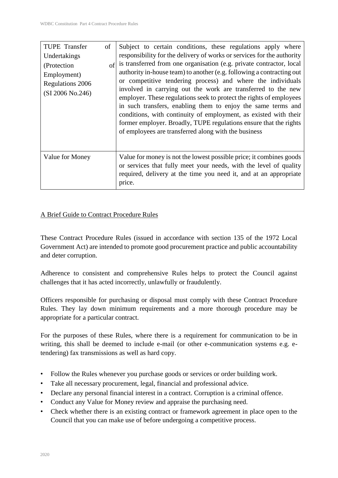| <b>TUPE</b> Transfer<br>Undertakings<br>(Protection)<br>Employment)<br>Regulations 2006<br>(SI 2006 No.246) | of<br>of | Subject to certain conditions, these regulations apply where<br>responsibility for the delivery of works or services for the authority<br>is transferred from one organisation (e.g. private contractor, local<br>authority in-house team) to another (e.g. following a contracting out<br>or competitive tendering process) and where the individuals<br>involved in carrying out the work are transferred to the new<br>employer. These regulations seek to protect the rights of employees<br>in such transfers, enabling them to enjoy the same terms and<br>conditions, with continuity of employment, as existed with their<br>former employer. Broadly, TUPE regulations ensure that the rights<br>of employees are transferred along with the business |
|-------------------------------------------------------------------------------------------------------------|----------|----------------------------------------------------------------------------------------------------------------------------------------------------------------------------------------------------------------------------------------------------------------------------------------------------------------------------------------------------------------------------------------------------------------------------------------------------------------------------------------------------------------------------------------------------------------------------------------------------------------------------------------------------------------------------------------------------------------------------------------------------------------|
| Value for Money                                                                                             |          | Value for money is not the lowest possible price; it combines goods<br>or services that fully meet your needs, with the level of quality<br>required, delivery at the time you need it, and at an appropriate<br>price.                                                                                                                                                                                                                                                                                                                                                                                                                                                                                                                                        |

#### A Brief Guide to Contract Procedure Rules

These Contract Procedure Rules (issued in accordance with section 135 of the 1972 Local Government Act) are intended to promote good procurement practice and public accountability and deter corruption.

Adherence to consistent and comprehensive Rules helps to protect the Council against challenges that it has acted incorrectly, unlawfully or fraudulently.

Officers responsible for purchasing or disposal must comply with these Contract Procedure Rules. They lay down minimum requirements and a more thorough procedure may be appropriate for a particular contract.

For the purposes of these Rules, where there is a requirement for communication to be in writing, this shall be deemed to include e-mail (or other e-communication systems e.g. etendering) fax transmissions as well as hard copy.

- Follow the Rules whenever you purchase goods or services or order building work.
- Take all necessary procurement, legal, financial and professional advice.
- Declare any personal financial interest in a contract. Corruption is a criminal offence.
- Conduct any Value for Money review and appraise the purchasing need.
- Check whether there is an existing contract or framework agreement in place open to the Council that you can make use of before undergoing a competitive process.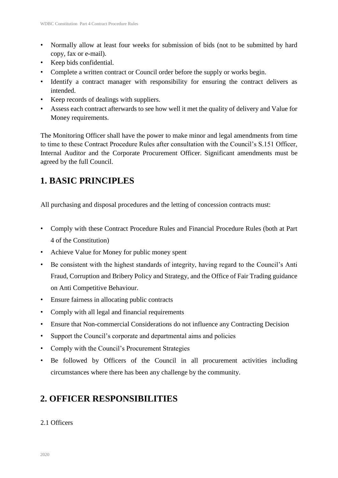- Normally allow at least four weeks for submission of bids (not to be submitted by hard copy, fax or e-mail).
- Keep bids confidential.
- Complete a written contract or Council order before the supply or works begin.
- Identify a contract manager with responsibility for ensuring the contract delivers as intended.
- Keep records of dealings with suppliers.
- Assess each contract afterwards to see how well it met the quality of delivery and Value for Money requirements.

The Monitoring Officer shall have the power to make minor and legal amendments from time to time to these Contract Procedure Rules after consultation with the Council's S.151 Officer, Internal Auditor and the Corporate Procurement Officer. Significant amendments must be agreed by the full Council.

# **1. BASIC PRINCIPLES**

All purchasing and disposal procedures and the letting of concession contracts must:

- Comply with these Contract Procedure Rules and Financial Procedure Rules (both at Part 4 of the Constitution)
- Achieve Value for Money for public money spent
- Be consistent with the highest standards of integrity, having regard to the Council's Anti Fraud, Corruption and Bribery Policy and Strategy, and the Office of Fair Trading guidance on Anti Competitive Behaviour.
- Ensure fairness in allocating public contracts
- Comply with all legal and financial requirements
- Ensure that Non-commercial Considerations do not influence any Contracting Decision
- Support the Council's corporate and departmental aims and policies
- Comply with the Council's Procurement Strategies
- Be followed by Officers of the Council in all procurement activities including circumstances where there has been any challenge by the community.

# **2. OFFICER RESPONSIBILITIES**

### 2.1 Officers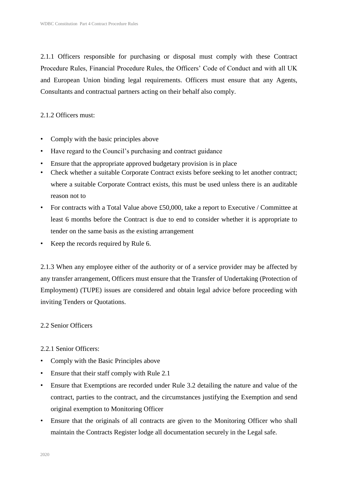2.1.1 Officers responsible for purchasing or disposal must comply with these Contract Procedure Rules, Financial Procedure Rules, the Officers' Code of Conduct and with all UK and European Union binding legal requirements. Officers must ensure that any Agents, Consultants and contractual partners acting on their behalf also comply.

2.1.2 Officers must:

- Comply with the basic principles above
- Have regard to the Council's purchasing and contract guidance
- Ensure that the appropriate approved budgetary provision is in place
- Check whether a suitable Corporate Contract exists before seeking to let another contract; where a suitable Corporate Contract exists, this must be used unless there is an auditable reason not to
- For contracts with a Total Value above £50,000, take a report to Executive / Committee at least 6 months before the Contract is due to end to consider whether it is appropriate to tender on the same basis as the existing arrangement
- Keep the records required by Rule 6.

2.1.3 When any employee either of the authority or of a service provider may be affected by any transfer arrangement, Officers must ensure that the Transfer of Undertaking (Protection of Employment) (TUPE) issues are considered and obtain legal advice before proceeding with inviting Tenders or Quotations.

#### 2.2 Senior Officers

2.2.1 Senior Officers:

- Comply with the Basic Principles above
- Ensure that their staff comply with Rule 2.1
- Ensure that Exemptions are recorded under Rule 3.2 detailing the nature and value of the contract, parties to the contract, and the circumstances justifying the Exemption and send original exemption to Monitoring Officer
- Ensure that the originals of all contracts are given to the Monitoring Officer who shall maintain the Contracts Register lodge all documentation securely in the Legal safe.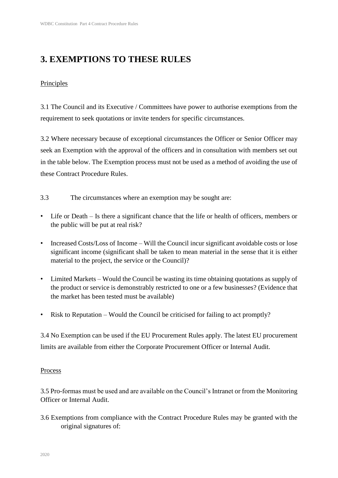# **3. EXEMPTIONS TO THESE RULES**

### Principles

3.1 The Council and its Executive / Committees have power to authorise exemptions from the requirement to seek quotations or invite tenders for specific circumstances.

3.2 Where necessary because of exceptional circumstances the Officer or Senior Officer may seek an Exemption with the approval of the officers and in consultation with members set out in the table below. The Exemption process must not be used as a method of avoiding the use of these Contract Procedure Rules.

3.3 The circumstances where an exemption may be sought are:

- Life or Death Is there a significant chance that the life or health of officers, members or the public will be put at real risk?
- Increased Costs/Loss of Income Will the Council incur significant avoidable costs or lose significant income (significant shall be taken to mean material in the sense that it is either material to the project, the service or the Council)?
- Limited Markets Would the Council be wasting its time obtaining quotations as supply of the product or service is demonstrably restricted to one or a few businesses? (Evidence that the market has been tested must be available)
- Risk to Reputation Would the Council be criticised for failing to act promptly?

3.4 No Exemption can be used if the EU Procurement Rules apply. The latest EU procurement limits are available from either the Corporate Procurement Officer or Internal Audit.

### Process

3.5 Pro-formas must be used and are available on the Council's Intranet or from the Monitoring Officer or Internal Audit.

3.6 Exemptions from compliance with the Contract Procedure Rules may be granted with the original signatures of: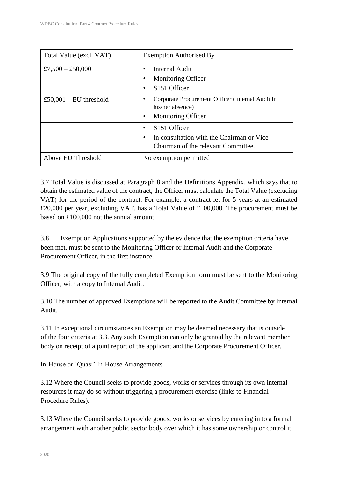| Total Value (excl. VAT) | <b>Exemption Authorised By</b>                                                                               |  |
|-------------------------|--------------------------------------------------------------------------------------------------------------|--|
| £7,500 - £50,000        | Internal Audit<br><b>Monitoring Officer</b><br>S <sub>151</sub> Officer                                      |  |
| £50,001 – EU threshold  | Corporate Procurement Officer (Internal Audit in<br>his/her absence)<br><b>Monitoring Officer</b>            |  |
|                         | S <sub>151</sub> Officer<br>In consultation with the Chairman or Vice<br>Chairman of the relevant Committee. |  |
| Above EU Threshold      | No exemption permitted                                                                                       |  |

3.7 Total Value is discussed at Paragraph 8 and the Definitions Appendix, which says that to obtain the estimated value of the contract, the Officer must calculate the Total Value (excluding VAT) for the period of the contract. For example, a contract let for 5 years at an estimated £20,000 per year, excluding VAT, has a Total Value of £100,000. The procurement must be based on £100,000 not the annual amount.

3.8 Exemption Applications supported by the evidence that the exemption criteria have been met, must be sent to the Monitoring Officer or Internal Audit and the Corporate Procurement Officer, in the first instance.

3.9 The original copy of the fully completed Exemption form must be sent to the Monitoring Officer, with a copy to Internal Audit.

3.10 The number of approved Exemptions will be reported to the Audit Committee by Internal Audit.

3.11 In exceptional circumstances an Exemption may be deemed necessary that is outside of the four criteria at 3.3. Any such Exemption can only be granted by the relevant member body on receipt of a joint report of the applicant and the Corporate Procurement Officer.

In-House or 'Quasi' In-House Arrangements

3.12 Where the Council seeks to provide goods, works or services through its own internal resources it may do so without triggering a procurement exercise (links to Financial Procedure Rules).

3.13 Where the Council seeks to provide goods, works or services by entering in to a formal arrangement with another public sector body over which it has some ownership or control it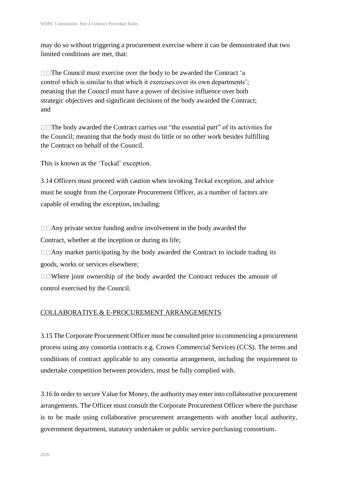may do so without triggering a procurement exercise where it can be demonstrated that two limited conditions are met, that:

 $\Box$  The Council must exercise over the body to be awarded the Contract 'a control which is similar to that which it exercises over its own departments'; meaning that the Council must have a power of decisive influence over both strategic objectives and significant decisions of the body awarded the Contract; and

 $\Box$  The body awarded the Contract carries out "the essential part" of its activities for the Council; meaning that the body must do little or no other work besides fulfilling the Contract on behalf of the Council.

This is known as the 'Teckal' exception.

3.14 Officers must proceed with caution when invoking Teckal exception, and advice must be sought from the Corporate Procurement Officer, as a number of factors are capable of eroding the exception, including:

 $\Box$   $\Box$  Any private sector funding and/or involvement in the body awarded the Contract, whether at the inception or during its life;

 $\Box$   $\Box$  Any market participating by the body awarded the Contract to include trading its goods, works or services elsewhere;

 $\Box$  Where joint ownership of the body awarded the Contract reduces the amount of control exercised by the Council.

### COLLABORATIVE & E-PROCUREMENT ARRANGEMENTS

3.15 The Corporate Procurement Officer must be consulted prior to commencing a procurement process using any consortia contracts e.g. Crown Commercial Services (CCS). The terms and conditions of contract applicable to any consortia arrangement, including the requirement to undertake competition between providers, must be fully complied with.

3.16 In order to secure Value for Money, the authority may enter into collaborative procurement arrangements. The Officer must consult the Corporate Procurement Officer where the purchase is to be made using collaborative procurement arrangements with another local authority, government department, statutory undertaker or public service purchasing consortium.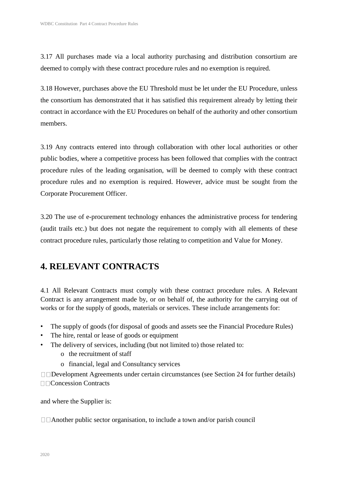3.17 All purchases made via a local authority purchasing and distribution consortium are deemed to comply with these contract procedure rules and no exemption is required.

3.18 However, purchases above the EU Threshold must be let under the EU Procedure, unless the consortium has demonstrated that it has satisfied this requirement already by letting their contract in accordance with the EU Procedures on behalf of the authority and other consortium members.

3.19 Any contracts entered into through collaboration with other local authorities or other public bodies, where a competitive process has been followed that complies with the contract procedure rules of the leading organisation, will be deemed to comply with these contract procedure rules and no exemption is required. However, advice must be sought from the Corporate Procurement Officer.

3.20 The use of e-procurement technology enhances the administrative process for tendering (audit trails etc.) but does not negate the requirement to comply with all elements of these contract procedure rules, particularly those relating to competition and Value for Money.

### **4. RELEVANT CONTRACTS**

4.1 All Relevant Contracts must comply with these contract procedure rules. A Relevant Contract is any arrangement made by, or on behalf of, the authority for the carrying out of works or for the supply of goods, materials or services. These include arrangements for:

- The supply of goods (for disposal of goods and assets see the Financial Procedure Rules)
- The hire, rental or lease of goods or equipment
- The delivery of services, including (but not limited to) those related to:
	- o the recruitment of staff
	- o financial, legal and Consultancy services

 $\Box$ Development Agreements under certain circumstances (see Section 24 for further details) □□Concession Contracts

and where the Supplier is:

 $\Box$  Another public sector organisation, to include a town and/or parish council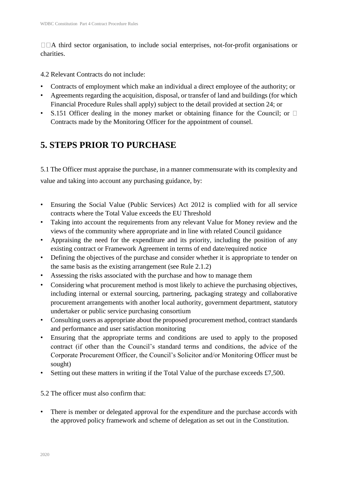$\Box\Box A$  third sector organisation, to include social enterprises, not-for-profit organisations or charities.

4.2 Relevant Contracts do not include:

- Contracts of employment which make an individual a direct employee of the authority; or
- Agreements regarding the acquisition, disposal, or transfer of land and buildings (for which Financial Procedure Rules shall apply) subject to the detail provided at section 24; or
- S.151 Officer dealing in the money market or obtaining finance for the Council; or  $\Box$ Contracts made by the Monitoring Officer for the appointment of counsel.

# **5. STEPS PRIOR TO PURCHASE**

5.1 The Officer must appraise the purchase, in a manner commensurate with its complexity and value and taking into account any purchasing guidance, by:

- Ensuring the Social Value (Public Services) Act 2012 is complied with for all service contracts where the Total Value exceeds the EU Threshold
- Taking into account the requirements from any relevant Value for Money review and the views of the community where appropriate and in line with related Council guidance
- Appraising the need for the expenditure and its priority, including the position of any existing contract or Framework Agreement in terms of end date/required notice
- Defining the objectives of the purchase and consider whether it is appropriate to tender on the same basis as the existing arrangement (see Rule 2.1.2)
- Assessing the risks associated with the purchase and how to manage them
- Considering what procurement method is most likely to achieve the purchasing objectives, including internal or external sourcing, partnering, packaging strategy and collaborative procurement arrangements with another local authority, government department, statutory undertaker or public service purchasing consortium
- Consulting users as appropriate about the proposed procurement method, contract standards and performance and user satisfaction monitoring
- Ensuring that the appropriate terms and conditions are used to apply to the proposed contract (if other than the Council's standard terms and conditions, the advice of the Corporate Procurement Officer, the Council's Solicitor and/or Monitoring Officer must be sought)
- Setting out these matters in writing if the Total Value of the purchase exceeds £7,500.

5.2 The officer must also confirm that:

• There is member or delegated approval for the expenditure and the purchase accords with the approved policy framework and scheme of delegation as set out in the Constitution.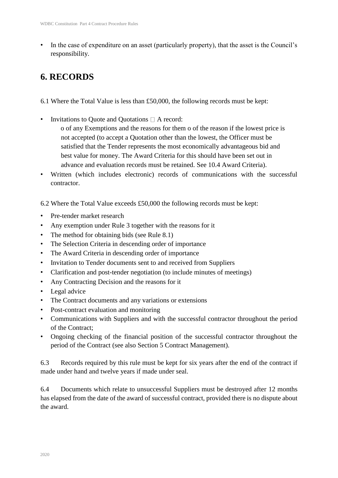In the case of expenditure on an asset (particularly property), that the asset is the Council's responsibility.

## **6. RECORDS**

- 6.1 Where the Total Value is less than £50,000, the following records must be kept:
- Invitations to Quote and Quotations  $\Box$  A record:
	- o of any Exemptions and the reasons for them o of the reason if the lowest price is not accepted (to accept a Quotation other than the lowest, the Officer must be satisfied that the Tender represents the most economically advantageous bid and best value for money. The Award Criteria for this should have been set out in advance and evaluation records must be retained. See 10.4 Award Criteria).
- Written (which includes electronic) records of communications with the successful contractor.

6.2 Where the Total Value exceeds £50,000 the following records must be kept:

- Pre-tender market research
- Any exemption under Rule 3 together with the reasons for it
- The method for obtaining bids (see Rule 8.1)
- The Selection Criteria in descending order of importance
- The Award Criteria in descending order of importance
- Invitation to Tender documents sent to and received from Suppliers
- Clarification and post-tender negotiation (to include minutes of meetings)
- Any Contracting Decision and the reasons for it
- Legal advice
- The Contract documents and any variations or extensions
- Post-contract evaluation and monitoring
- Communications with Suppliers and with the successful contractor throughout the period of the Contract;
- Ongoing checking of the financial position of the successful contractor throughout the period of the Contract (see also Section 5 Contract Management).

6.3 Records required by this rule must be kept for six years after the end of the contract if made under hand and twelve years if made under seal.

6.4 Documents which relate to unsuccessful Suppliers must be destroyed after 12 months has elapsed from the date of the award of successful contract, provided there is no dispute about the award.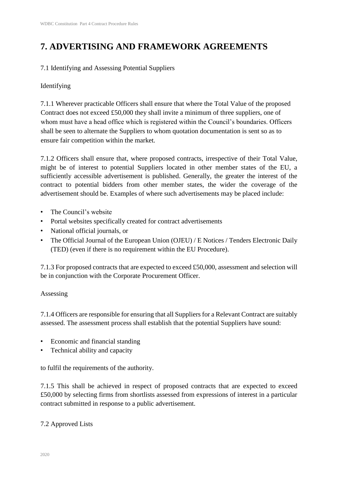# **7. ADVERTISING AND FRAMEWORK AGREEMENTS**

### 7.1 Identifying and Assessing Potential Suppliers

### Identifying

7.1.1 Wherever practicable Officers shall ensure that where the Total Value of the proposed Contract does not exceed £50,000 they shall invite a minimum of three suppliers, one of whom must have a head office which is registered within the Council's boundaries. Officers shall be seen to alternate the Suppliers to whom quotation documentation is sent so as to ensure fair competition within the market.

7.1.2 Officers shall ensure that, where proposed contracts, irrespective of their Total Value, might be of interest to potential Suppliers located in other member states of the EU, a sufficiently accessible advertisement is published. Generally, the greater the interest of the contract to potential bidders from other member states, the wider the coverage of the advertisement should be. Examples of where such advertisements may be placed include:

- The Council's website
- Portal websites specifically created for contract advertisements
- National official journals, or
- The Official Journal of the European Union (OJEU) / E Notices / Tenders Electronic Daily (TED) (even if there is no requirement within the EU Procedure).

7.1.3 For proposed contracts that are expected to exceed £50,000, assessment and selection will be in conjunction with the Corporate Procurement Officer.

### Assessing

7.1.4 Officers are responsible for ensuring that all Suppliers for a Relevant Contract are suitably assessed. The assessment process shall establish that the potential Suppliers have sound:

- Economic and financial standing
- Technical ability and capacity

to fulfil the requirements of the authority.

7.1.5 This shall be achieved in respect of proposed contracts that are expected to exceed £50,000 by selecting firms from shortlists assessed from expressions of interest in a particular contract submitted in response to a public advertisement.

### 7.2 Approved Lists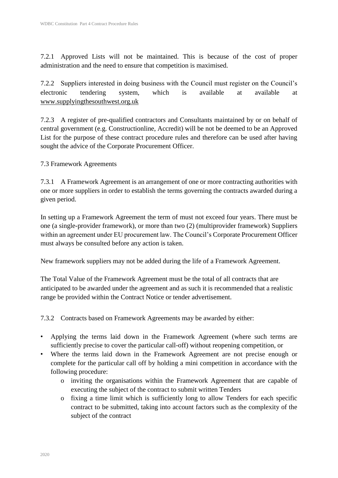7.2.1 Approved Lists will not be maintained. This is because of the cost of proper administration and the need to ensure that competition is maximised.

7.2.2 Suppliers interested in doing business with the Council must register on the Council's electronic tendering system, which is available at available at www.supplyingthesouthwest.org.uk

7.2.3 A register of pre-qualified contractors and Consultants maintained by or on behalf of central government (e.g. Constructionline, Accredit) will be not be deemed to be an Approved List for the purpose of these contract procedure rules and therefore can be used after having sought the advice of the Corporate Procurement Officer.

### 7.3 Framework Agreements

7.3.1 A Framework Agreement is an arrangement of one or more contracting authorities with one or more suppliers in order to establish the terms governing the contracts awarded during a given period.

In setting up a Framework Agreement the term of must not exceed four years. There must be one (a single-provider framework), or more than two (2) (multiprovider framework) Suppliers within an agreement under EU procurement law. The Council's Corporate Procurement Officer must always be consulted before any action is taken.

New framework suppliers may not be added during the life of a Framework Agreement.

The Total Value of the Framework Agreement must be the total of all contracts that are anticipated to be awarded under the agreement and as such it is recommended that a realistic range be provided within the Contract Notice or tender advertisement.

7.3.2 Contracts based on Framework Agreements may be awarded by either:

- Applying the terms laid down in the Framework Agreement (where such terms are sufficiently precise to cover the particular call-off) without reopening competition, or
- Where the terms laid down in the Framework Agreement are not precise enough or complete for the particular call off by holding a mini competition in accordance with the following procedure:
	- o inviting the organisations within the Framework Agreement that are capable of executing the subject of the contract to submit written Tenders
	- o fixing a time limit which is sufficiently long to allow Tenders for each specific contract to be submitted, taking into account factors such as the complexity of the subject of the contract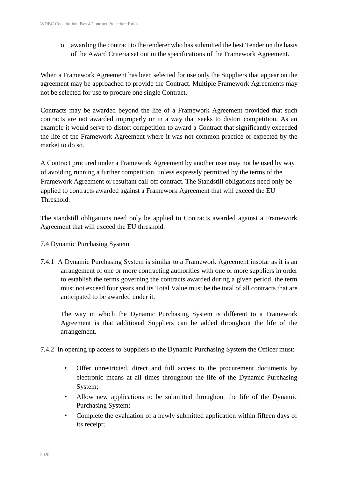o awarding the contract to the tenderer who has submitted the best Tender on the basis of the Award Criteria set out in the specifications of the Framework Agreement.

When a Framework Agreement has been selected for use only the Suppliers that appear on the agreement may be approached to provide the Contract. Multiple Framework Agreements may not be selected for use to procure one single Contract.

Contracts may be awarded beyond the life of a Framework Agreement provided that such contracts are not awarded improperly or in a way that seeks to distort competition. As an example it would serve to distort competition to award a Contract that significantly exceeded the life of the Framework Agreement where it was not common practice or expected by the market to do so.

A Contract procured under a Framework Agreement by another user may not be used by way of avoiding running a further competition, unless expressly permitted by the terms of the Framework Agreement or resultant call-off contract. The Standstill obligations need only be applied to contracts awarded against a Framework Agreement that will exceed the EU **Threshold** 

The standstill obligations need only be applied to Contracts awarded against a Framework Agreement that will exceed the EU threshold.

- 7.4 Dynamic Purchasing System
- 7.4.1 A Dynamic Purchasing System is similar to a Framework Agreement insofar as it is an arrangement of one or more contracting authorities with one or more suppliers in order to establish the terms governing the contracts awarded during a given period, the term must not exceed four years and its Total Value must be the total of all contracts that are anticipated to be awarded under it.

The way in which the Dynamic Purchasing System is different to a Framework Agreement is that additional Suppliers can be added throughout the life of the arrangement.

- 7.4.2 In opening up access to Suppliers to the Dynamic Purchasing System the Officer must:
	- Offer unrestricted, direct and full access to the procurement documents by electronic means at all times throughout the life of the Dynamic Purchasing System;
	- Allow new applications to be submitted throughout the life of the Dynamic Purchasing System;
	- Complete the evaluation of a newly submitted application within fifteen days of its receipt;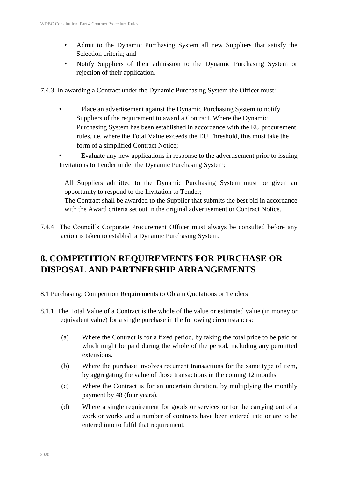- Admit to the Dynamic Purchasing System all new Suppliers that satisfy the Selection criteria; and
- Notify Suppliers of their admission to the Dynamic Purchasing System or rejection of their application.

7.4.3 In awarding a Contract under the Dynamic Purchasing System the Officer must:

- Place an advertisement against the Dynamic Purchasing System to notify Suppliers of the requirement to award a Contract. Where the Dynamic Purchasing System has been established in accordance with the EU procurement rules, i.e. where the Total Value exceeds the EU Threshold, this must take the form of a simplified Contract Notice;
- Evaluate any new applications in response to the advertisement prior to issuing Invitations to Tender under the Dynamic Purchasing System;

All Suppliers admitted to the Dynamic Purchasing System must be given an opportunity to respond to the Invitation to Tender; The Contract shall be awarded to the Supplier that submits the best bid in accordance with the Award criteria set out in the original advertisement or Contract Notice.

7.4.4 The Council's Corporate Procurement Officer must always be consulted before any action is taken to establish a Dynamic Purchasing System.

# **8. COMPETITION REQUIREMENTS FOR PURCHASE OR DISPOSAL AND PARTNERSHIP ARRANGEMENTS**

- 8.1 Purchasing: Competition Requirements to Obtain Quotations or Tenders
- 8.1.1 The Total Value of a Contract is the whole of the value or estimated value (in money or equivalent value) for a single purchase in the following circumstances:
	- (a) Where the Contract is for a fixed period, by taking the total price to be paid or which might be paid during the whole of the period, including any permitted extensions.
	- (b) Where the purchase involves recurrent transactions for the same type of item, by aggregating the value of those transactions in the coming 12 months.
	- (c) Where the Contract is for an uncertain duration, by multiplying the monthly payment by 48 (four years).
	- (d) Where a single requirement for goods or services or for the carrying out of a work or works and a number of contracts have been entered into or are to be entered into to fulfil that requirement.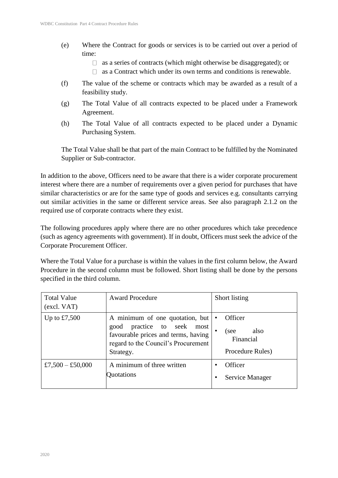- (e) Where the Contract for goods or services is to be carried out over a period of time:
	- $\Box$  as a series of contracts (which might otherwise be disaggregated); or
	- $\Box$  as a Contract which under its own terms and conditions is renewable.
- (f) The value of the scheme or contracts which may be awarded as a result of a feasibility study.
- (g) The Total Value of all contracts expected to be placed under a Framework Agreement.
- (h) The Total Value of all contracts expected to be placed under a Dynamic Purchasing System.

The Total Value shall be that part of the main Contract to be fulfilled by the Nominated Supplier or Sub-contractor.

In addition to the above, Officers need to be aware that there is a wider corporate procurement interest where there are a number of requirements over a given period for purchases that have similar characteristics or are for the same type of goods and services e.g. consultants carrying out similar activities in the same or different service areas. See also paragraph 2.1.2 on the required use of corporate contracts where they exist.

The following procedures apply where there are no other procedures which take precedence (such as agency agreements with government). If in doubt, Officers must seek the advice of the Corporate Procurement Officer.

Where the Total Value for a purchase is within the values in the first column below, the Award Procedure in the second column must be followed. Short listing shall be done by the persons specified in the third column.

| <b>Total Value</b><br>(excl. VAT) | <b>Award Procedure</b>                                                                                                                                   | Short listing                                            |
|-----------------------------------|----------------------------------------------------------------------------------------------------------------------------------------------------------|----------------------------------------------------------|
| Up to $£7,500$                    | A minimum of one quotation, but<br>good practice to seek most<br>favourable prices and terms, having<br>regard to the Council's Procurement<br>Strategy. | Officer<br>also<br>see)<br>Financial<br>Procedure Rules) |
| £7,500 - £50,000                  | A minimum of three written<br>Quotations                                                                                                                 | Officer<br>Service Manager                               |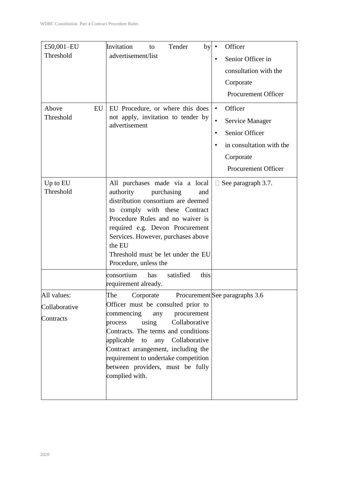| £50,001-EU            | Invitation<br>Tender<br>by<br>to                                                                                                                                                                                                                                                                                                                                                                | Officer                        |
|-----------------------|-------------------------------------------------------------------------------------------------------------------------------------------------------------------------------------------------------------------------------------------------------------------------------------------------------------------------------------------------------------------------------------------------|--------------------------------|
| Threshold             | advertisement/list                                                                                                                                                                                                                                                                                                                                                                              |                                |
|                       |                                                                                                                                                                                                                                                                                                                                                                                                 | Senior Officer in              |
|                       |                                                                                                                                                                                                                                                                                                                                                                                                 | consultation with the          |
|                       |                                                                                                                                                                                                                                                                                                                                                                                                 | Corporate                      |
|                       |                                                                                                                                                                                                                                                                                                                                                                                                 | Procurement Officer            |
| Above<br>EU           | EU Procedure, or where this does                                                                                                                                                                                                                                                                                                                                                                | Officer<br>$\bullet$           |
| Threshold             | not apply, invitation to tender by<br>advertisement                                                                                                                                                                                                                                                                                                                                             | Service Manager                |
|                       |                                                                                                                                                                                                                                                                                                                                                                                                 | Senior Officer<br>$\bullet$    |
|                       |                                                                                                                                                                                                                                                                                                                                                                                                 | in consultation with the       |
|                       |                                                                                                                                                                                                                                                                                                                                                                                                 | Corporate                      |
|                       |                                                                                                                                                                                                                                                                                                                                                                                                 | Procurement Officer            |
| Up to EU<br>Threshold | All purchases made via a local<br>authority<br>purchasing<br>and<br>distribution consortium are deemed<br>to comply with these Contract<br>Procedure Rules and no waiver is<br>required e.g. Devon Procurement<br>Services. However, purchases above<br>the EU<br>Threshold must be let under the EU<br>Procedure, unless the<br>satisfied<br>this<br>consortium<br>has<br>requirement already. | $\Box$ See paragraph 3.7.      |
| All values:           | The Corporate                                                                                                                                                                                                                                                                                                                                                                                   | Procurement See paragraphs 3.6 |
| Collaborative         | Officer must be consulted prior to                                                                                                                                                                                                                                                                                                                                                              |                                |
| Contracts             | commencing<br>procurement<br>any<br>Collaborative<br>using<br>process                                                                                                                                                                                                                                                                                                                           |                                |
|                       | Contracts. The terms and conditions<br>any Collaborative<br>applicable<br>to<br>Contract arrangement, including the                                                                                                                                                                                                                                                                             |                                |
|                       | requirement to undertake competition<br>between providers, must be fully<br>complied with.                                                                                                                                                                                                                                                                                                      |                                |
|                       |                                                                                                                                                                                                                                                                                                                                                                                                 |                                |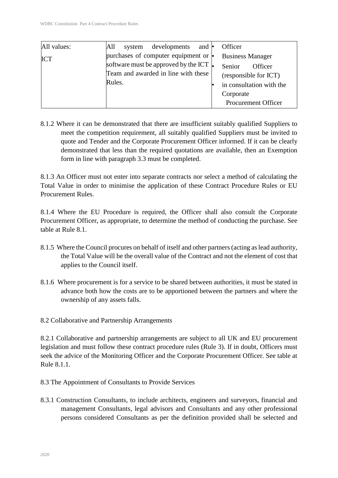| All values: | developments<br>and $\cdot$<br>All<br>system                                           | Officer                                                                             |
|-------------|----------------------------------------------------------------------------------------|-------------------------------------------------------------------------------------|
| <b>ICT</b>  | purchases of computer equipment or $\cdot$                                             | <b>Business Manager</b>                                                             |
|             | software must be approved by the ICT.<br>Team and awarded in line with these<br>Rules. | Senior<br>Officer<br>(responsible for ICT)<br>in consultation with the<br>Corporate |
|             |                                                                                        | Procurement Officer                                                                 |

8.1.2 Where it can be demonstrated that there are insufficient suitably qualified Suppliers to meet the competition requirement, all suitably qualified Suppliers must be invited to quote and Tender and the Corporate Procurement Officer informed. If it can be clearly demonstrated that less than the required quotations are available, then an Exemption form in line with paragraph 3.3 must be completed.

8.1.3 An Officer must not enter into separate contracts nor select a method of calculating the Total Value in order to minimise the application of these Contract Procedure Rules or EU Procurement Rules.

8.1.4 Where the EU Procedure is required, the Officer shall also consult the Corporate Procurement Officer, as appropriate, to determine the method of conducting the purchase. See table at Rule 8.1.

- 8.1.5 Where the Council procures on behalf of itself and other partners (acting as lead authority, the Total Value will be the overall value of the Contract and not the element of cost that applies to the Council itself.
- 8.1.6 Where procurement is for a service to be shared between authorities, it must be stated in advance both how the costs are to be apportioned between the partners and where the ownership of any assets falls.

8.2 Collaborative and Partnership Arrangements

8.2.1 Collaborative and partnership arrangements are subject to all UK and EU procurement legislation and must follow these contract procedure rules (Rule 3). If in doubt, Officers must seek the advice of the Monitoring Officer and the Corporate Procurement Officer. See table at Rule  $8.1.1$ .

- 8.3 The Appointment of Consultants to Provide Services
- 8.3.1 Construction Consultants, to include architects, engineers and surveyors, financial and management Consultants, legal advisors and Consultants and any other professional persons considered Consultants as per the definition provided shall be selected and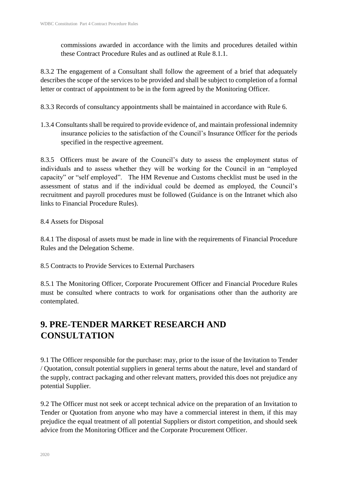commissions awarded in accordance with the limits and procedures detailed within these Contract Procedure Rules and as outlined at Rule 8.1.1.

8.3.2 The engagement of a Consultant shall follow the agreement of a brief that adequately describes the scope of the services to be provided and shall be subject to completion of a formal letter or contract of appointment to be in the form agreed by the Monitoring Officer.

8.3.3 Records of consultancy appointments shall be maintained in accordance with Rule 6.

1.3.4 Consultants shall be required to provide evidence of, and maintain professional indemnity insurance policies to the satisfaction of the Council's Insurance Officer for the periods specified in the respective agreement.

8.3.5 Officers must be aware of the Council's duty to assess the employment status of individuals and to assess whether they will be working for the Council in an "employed capacity" or "self employed". The HM Revenue and Customs checklist must be used in the assessment of status and if the individual could be deemed as employed, the Council's recruitment and payroll procedures must be followed (Guidance is on the Intranet which also links to Financial Procedure Rules).

### 8.4 Assets for Disposal

8.4.1 The disposal of assets must be made in line with the requirements of Financial Procedure Rules and the Delegation Scheme.

8.5 Contracts to Provide Services to External Purchasers

8.5.1 The Monitoring Officer, Corporate Procurement Officer and Financial Procedure Rules must be consulted where contracts to work for organisations other than the authority are contemplated.

# **9. PRE-TENDER MARKET RESEARCH AND CONSULTATION**

9.1 The Officer responsible for the purchase: may, prior to the issue of the Invitation to Tender / Quotation, consult potential suppliers in general terms about the nature, level and standard of the supply, contract packaging and other relevant matters, provided this does not prejudice any potential Supplier.

9.2 The Officer must not seek or accept technical advice on the preparation of an Invitation to Tender or Quotation from anyone who may have a commercial interest in them, if this may prejudice the equal treatment of all potential Suppliers or distort competition, and should seek advice from the Monitoring Officer and the Corporate Procurement Officer.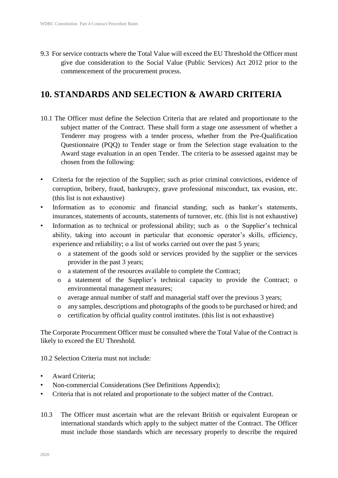9.3 For service contracts where the Total Value will exceed the EU Threshold the Officer must give due consideration to the Social Value (Public Services) Act 2012 prior to the commencement of the procurement process.

### **10. STANDARDS AND SELECTION & AWARD CRITERIA**

- 10.1 The Officer must define the Selection Criteria that are related and proportionate to the subject matter of the Contract. These shall form a stage one assessment of whether a Tenderer may progress with a tender process, whether from the Pre-Qualification Questionnaire (PQQ) to Tender stage or from the Selection stage evaluation to the Award stage evaluation in an open Tender. The criteria to be assessed against may be chosen from the following:
- Criteria for the rejection of the Supplier; such as prior criminal convictions, evidence of corruption, bribery, fraud, bankruptcy, grave professional misconduct, tax evasion, etc. (this list is not exhaustive)
- Information as to economic and financial standing; such as banker's statements, insurances, statements of accounts, statements of turnover, etc. (this list is not exhaustive)
- Information as to technical or professional ability; such as o the Supplier's technical ability, taking into account in particular that economic operator's skills, efficiency, experience and reliability; o a list of works carried out over the past 5 years;
	- o a statement of the goods sold or services provided by the supplier or the services provider in the past 3 years;
	- o a statement of the resources available to complete the Contract;
	- o a statement of the Supplier's technical capacity to provide the Contract; o environmental management measures;
	- o average annual number of staff and managerial staff over the previous 3 years;
	- o any samples, descriptions and photographs of the goods to be purchased or hired; and
	- o certification by official quality control institutes. (this list is not exhaustive)

The Corporate Procurement Officer must be consulted where the Total Value of the Contract is likely to exceed the EU Threshold.

10.2 Selection Criteria must not include:

- Award Criteria:
- Non-commercial Considerations (See Definitions Appendix);
- Criteria that is not related and proportionate to the subject matter of the Contract.
- 10.3 The Officer must ascertain what are the relevant British or equivalent European or international standards which apply to the subject matter of the Contract. The Officer must include those standards which are necessary properly to describe the required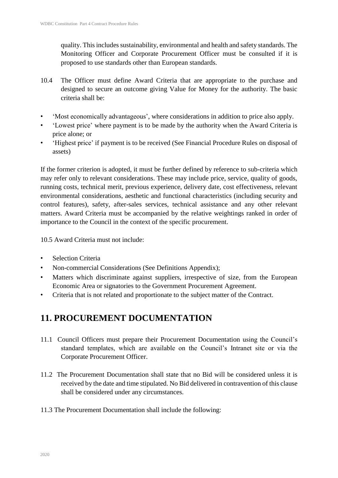quality. This includes sustainability, environmental and health and safety standards. The Monitoring Officer and Corporate Procurement Officer must be consulted if it is proposed to use standards other than European standards.

- 10.4 The Officer must define Award Criteria that are appropriate to the purchase and designed to secure an outcome giving Value for Money for the authority. The basic criteria shall be:
- 'Most economically advantageous', where considerations in addition to price also apply.
- 'Lowest price' where payment is to be made by the authority when the Award Criteria is price alone; or
- 'Highest price' if payment is to be received (See Financial Procedure Rules on disposal of assets)

If the former criterion is adopted, it must be further defined by reference to sub-criteria which may refer only to relevant considerations. These may include price, service, quality of goods, running costs, technical merit, previous experience, delivery date, cost effectiveness, relevant environmental considerations, aesthetic and functional characteristics (including security and control features), safety, after-sales services, technical assistance and any other relevant matters. Award Criteria must be accompanied by the relative weightings ranked in order of importance to the Council in the context of the specific procurement.

10.5 Award Criteria must not include:

- Selection Criteria
- Non-commercial Considerations (See Definitions Appendix);
- Matters which discriminate against suppliers, irrespective of size, from the European Economic Area or signatories to the Government Procurement Agreement.
- Criteria that is not related and proportionate to the subject matter of the Contract.

# **11. PROCUREMENT DOCUMENTATION**

- 11.1 Council Officers must prepare their Procurement Documentation using the Council's standard templates, which are available on the Council's Intranet site or via the Corporate Procurement Officer.
- 11.2 The Procurement Documentation shall state that no Bid will be considered unless it is received by the date and time stipulated. No Bid delivered in contravention of this clause shall be considered under any circumstances.
- 11.3 The Procurement Documentation shall include the following: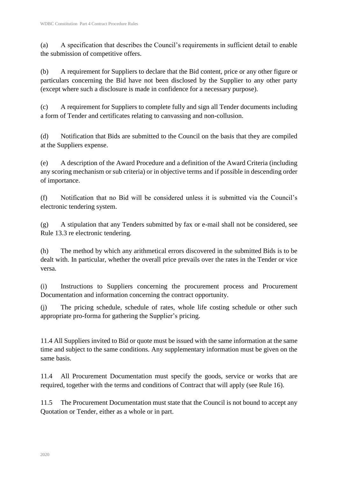(a) A specification that describes the Council's requirements in sufficient detail to enable the submission of competitive offers.

(b) A requirement for Suppliers to declare that the Bid content, price or any other figure or particulars concerning the Bid have not been disclosed by the Supplier to any other party (except where such a disclosure is made in confidence for a necessary purpose).

(c) A requirement for Suppliers to complete fully and sign all Tender documents including a form of Tender and certificates relating to canvassing and non-collusion.

(d) Notification that Bids are submitted to the Council on the basis that they are compiled at the Suppliers expense.

(e) A description of the Award Procedure and a definition of the Award Criteria (including any scoring mechanism or sub criteria) or in objective terms and if possible in descending order of importance.

(f) Notification that no Bid will be considered unless it is submitted via the Council's electronic tendering system.

(g) A stipulation that any Tenders submitted by fax or e-mail shall not be considered, see Rule 13.3 re electronic tendering.

(h) The method by which any arithmetical errors discovered in the submitted Bids is to be dealt with. In particular, whether the overall price prevails over the rates in the Tender or vice versa.

(i) Instructions to Suppliers concerning the procurement process and Procurement Documentation and information concerning the contract opportunity.

(j) The pricing schedule, schedule of rates, whole life costing schedule or other such appropriate pro-forma for gathering the Supplier's pricing.

11.4 All Suppliers invited to Bid or quote must be issued with the same information at the same time and subject to the same conditions. Any supplementary information must be given on the same basis.

11.4 All Procurement Documentation must specify the goods, service or works that are required, together with the terms and conditions of Contract that will apply (see Rule 16).

11.5 The Procurement Documentation must state that the Council is not bound to accept any Quotation or Tender, either as a whole or in part.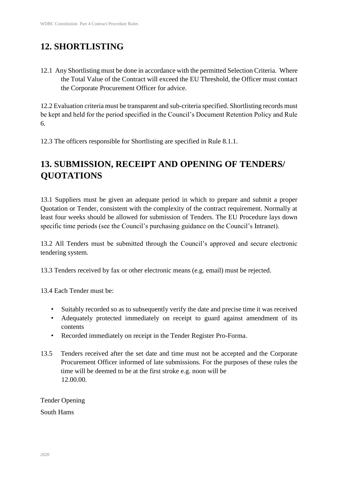# **12. SHORTLISTING**

12.1 Any Shortlisting must be done in accordance with the permitted Selection Criteria. Where the Total Value of the Contract will exceed the EU Threshold, the Officer must contact the Corporate Procurement Officer for advice.

12.2 Evaluation criteria must be transparent and sub-criteria specified. Shortlisting records must be kept and held for the period specified in the Council's Document Retention Policy and Rule 6.

12.3 The officers responsible for Shortlisting are specified in Rule 8.1.1.

# **13. SUBMISSION, RECEIPT AND OPENING OF TENDERS/ QUOTATIONS**

13.1 Suppliers must be given an adequate period in which to prepare and submit a proper Quotation or Tender, consistent with the complexity of the contract requirement. Normally at least four weeks should be allowed for submission of Tenders. The EU Procedure lays down specific time periods (see the Council's purchasing guidance on the Council's Intranet).

13.2 All Tenders must be submitted through the Council's approved and secure electronic tendering system.

13.3 Tenders received by fax or other electronic means (e.g. email) must be rejected.

13.4 Each Tender must be:

- Suitably recorded so as to subsequently verify the date and precise time it was received
- Adequately protected immediately on receipt to guard against amendment of its contents
- Recorded immediately on receipt in the Tender Register Pro-Forma.
- 13.5 Tenders received after the set date and time must not be accepted and the Corporate Procurement Officer informed of late submissions. For the purposes of these rules the time will be deemed to be at the first stroke e.g. noon will be 12.00.00.

Tender Opening South Hams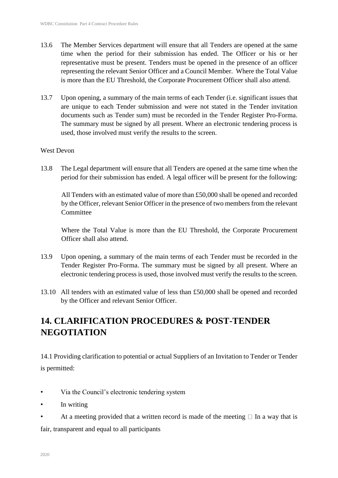- 13.6 The Member Services department will ensure that all Tenders are opened at the same time when the period for their submission has ended. The Officer or his or her representative must be present. Tenders must be opened in the presence of an officer representing the relevant Senior Officer and a Council Member. Where the Total Value is more than the EU Threshold, the Corporate Procurement Officer shall also attend.
- 13.7 Upon opening, a summary of the main terms of each Tender (i.e. significant issues that are unique to each Tender submission and were not stated in the Tender invitation documents such as Tender sum) must be recorded in the Tender Register Pro-Forma. The summary must be signed by all present. Where an electronic tendering process is used, those involved must verify the results to the screen.

### West Devon

13.8 The Legal department will ensure that all Tenders are opened at the same time when the period for their submission has ended. A legal officer will be present for the following:

All Tenders with an estimated value of more than £50,000 shall be opened and recorded by the Officer, relevant Senior Officer in the presence of two members from the relevant **Committee** 

Where the Total Value is more than the EU Threshold, the Corporate Procurement Officer shall also attend.

- 13.9 Upon opening, a summary of the main terms of each Tender must be recorded in the Tender Register Pro-Forma. The summary must be signed by all present. Where an electronic tendering process is used, those involved must verify the results to the screen.
- 13.10 All tenders with an estimated value of less than £50,000 shall be opened and recorded by the Officer and relevant Senior Officer.

# **14. CLARIFICATION PROCEDURES & POST-TENDER NEGOTIATION**

14.1 Providing clarification to potential or actual Suppliers of an Invitation to Tender or Tender is permitted:

- Via the Council's electronic tendering system
- In writing
- At a meeting provided that a written record is made of the meeting  $\Box$  In a way that is

fair, transparent and equal to all participants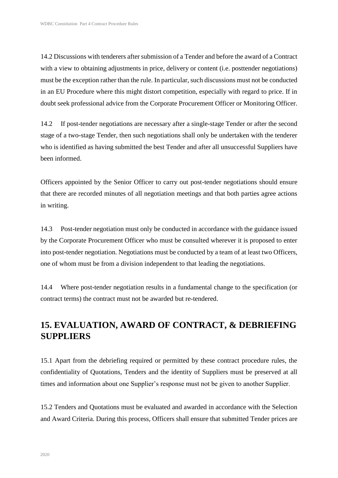14.2 Discussions with tenderers after submission of a Tender and before the award of a Contract with a view to obtaining adjustments in price, delivery or content (i.e. posttender negotiations) must be the exception rather than the rule. In particular, such discussions must not be conducted in an EU Procedure where this might distort competition, especially with regard to price. If in doubt seek professional advice from the Corporate Procurement Officer or Monitoring Officer.

14.2 If post-tender negotiations are necessary after a single-stage Tender or after the second stage of a two-stage Tender, then such negotiations shall only be undertaken with the tenderer who is identified as having submitted the best Tender and after all unsuccessful Suppliers have been informed.

Officers appointed by the Senior Officer to carry out post-tender negotiations should ensure that there are recorded minutes of all negotiation meetings and that both parties agree actions in writing.

14.3 Post-tender negotiation must only be conducted in accordance with the guidance issued by the Corporate Procurement Officer who must be consulted wherever it is proposed to enter into post-tender negotiation. Negotiations must be conducted by a team of at least two Officers, one of whom must be from a division independent to that leading the negotiations.

14.4 Where post-tender negotiation results in a fundamental change to the specification (or contract terms) the contract must not be awarded but re-tendered.

# **15. EVALUATION, AWARD OF CONTRACT, & DEBRIEFING SUPPLIERS**

15.1 Apart from the debriefing required or permitted by these contract procedure rules, the confidentiality of Quotations, Tenders and the identity of Suppliers must be preserved at all times and information about one Supplier's response must not be given to another Supplier.

15.2 Tenders and Quotations must be evaluated and awarded in accordance with the Selection and Award Criteria. During this process, Officers shall ensure that submitted Tender prices are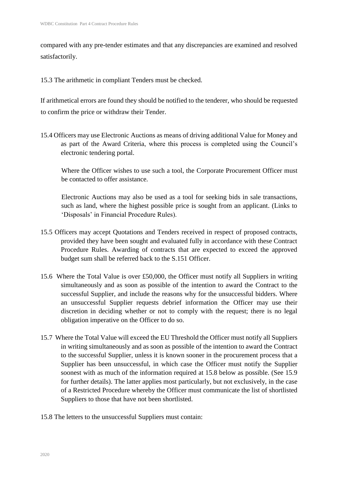compared with any pre-tender estimates and that any discrepancies are examined and resolved satisfactorily.

15.3 The arithmetic in compliant Tenders must be checked.

If arithmetical errors are found they should be notified to the tenderer, who should be requested to confirm the price or withdraw their Tender.

15.4 Officers may use Electronic Auctions as means of driving additional Value for Money and as part of the Award Criteria, where this process is completed using the Council's electronic tendering portal.

Where the Officer wishes to use such a tool, the Corporate Procurement Officer must be contacted to offer assistance.

Electronic Auctions may also be used as a tool for seeking bids in sale transactions, such as land, where the highest possible price is sought from an applicant. (Links to 'Disposals' in Financial Procedure Rules).

- 15.5 Officers may accept Quotations and Tenders received in respect of proposed contracts, provided they have been sought and evaluated fully in accordance with these Contract Procedure Rules. Awarding of contracts that are expected to exceed the approved budget sum shall be referred back to the S.151 Officer.
- 15.6 Where the Total Value is over £50,000, the Officer must notify all Suppliers in writing simultaneously and as soon as possible of the intention to award the Contract to the successful Supplier, and include the reasons why for the unsuccessful bidders. Where an unsuccessful Supplier requests debrief information the Officer may use their discretion in deciding whether or not to comply with the request; there is no legal obligation imperative on the Officer to do so.
- 15.7 Where the Total Value will exceed the EU Threshold the Officer must notify all Suppliers in writing simultaneously and as soon as possible of the intention to award the Contract to the successful Supplier, unless it is known sooner in the procurement process that a Supplier has been unsuccessful, in which case the Officer must notify the Supplier soonest with as much of the information required at 15.8 below as possible. (See 15.9 for further details). The latter applies most particularly, but not exclusively, in the case of a Restricted Procedure whereby the Officer must communicate the list of shortlisted Suppliers to those that have not been shortlisted.
- 15.8 The letters to the unsuccessful Suppliers must contain: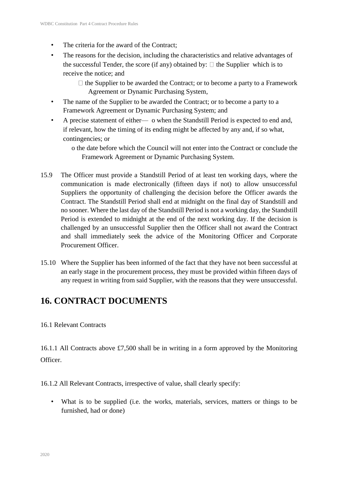- The criteria for the award of the Contract;
- The reasons for the decision, including the characteristics and relative advantages of the successful Tender, the score (if any) obtained by:  $\Box$  the Supplier which is to receive the notice; and
	- $\Box$  the Supplier to be awarded the Contract; or to become a party to a Framework Agreement or Dynamic Purchasing System,
- The name of the Supplier to be awarded the Contract; or to become a party to a Framework Agreement or Dynamic Purchasing System; and
- A precise statement of either— o when the Standstill Period is expected to end and, if relevant, how the timing of its ending might be affected by any and, if so what, contingencies; or
	- o the date before which the Council will not enter into the Contract or conclude the Framework Agreement or Dynamic Purchasing System.
- 15.9 The Officer must provide a Standstill Period of at least ten working days, where the communication is made electronically (fifteen days if not) to allow unsuccessful Suppliers the opportunity of challenging the decision before the Officer awards the Contract. The Standstill Period shall end at midnight on the final day of Standstill and no sooner. Where the last day of the Standstill Period is not a working day, the Standstill Period is extended to midnight at the end of the next working day. If the decision is challenged by an unsuccessful Supplier then the Officer shall not award the Contract and shall immediately seek the advice of the Monitoring Officer and Corporate Procurement Officer.
- 15.10 Where the Supplier has been informed of the fact that they have not been successful at an early stage in the procurement process, they must be provided within fifteen days of any request in writing from said Supplier, with the reasons that they were unsuccessful.

# **16. CONTRACT DOCUMENTS**

### 16.1 Relevant Contracts

16.1.1 All Contracts above £7,500 shall be in writing in a form approved by the Monitoring Officer.

16.1.2 All Relevant Contracts, irrespective of value, shall clearly specify:

• What is to be supplied (i.e. the works, materials, services, matters or things to be furnished, had or done)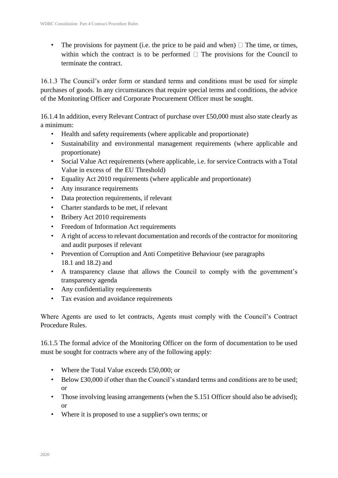The provisions for payment (i.e. the price to be paid and when)  $\Box$  The time, or times, within which the contract is to be performed  $\Box$  The provisions for the Council to terminate the contract.

16.1.3 The Council's order form or standard terms and conditions must be used for simple purchases of goods. In any circumstances that require special terms and conditions, the advice of the Monitoring Officer and Corporate Procurement Officer must be sought.

16.1.4 In addition, every Relevant Contract of purchase over £50,000 must also state clearly as a minimum:

- Health and safety requirements (where applicable and proportionate)
- Sustainability and environmental management requirements (where applicable and proportionate)
- Social Value Act requirements (where applicable, i.e. for service Contracts with a Total Value in excess of the EU Threshold)
- Equality Act 2010 requirements (where applicable and proportionate)
- Any insurance requirements
- Data protection requirements, if relevant
- Charter standards to be met, if relevant
- Bribery Act 2010 requirements
- Freedom of Information Act requirements
- A right of access to relevant documentation and records of the contractor for monitoring and audit purposes if relevant
- Prevention of Corruption and Anti Competitive Behaviour (see paragraphs 18.1 and 18.2) and
- A transparency clause that allows the Council to comply with the government's transparency agenda
- Any confidentiality requirements
- Tax evasion and avoidance requirements

Where Agents are used to let contracts, Agents must comply with the Council's Contract Procedure Rules.

16.1.5 The formal advice of the Monitoring Officer on the form of documentation to be used must be sought for contracts where any of the following apply:

- Where the Total Value exceeds £50,000; or
- Below £30,000 if other than the Council's standard terms and conditions are to be used; or
- Those involving leasing arrangements (when the S.151 Officer should also be advised); or
- Where it is proposed to use a supplier's own terms; or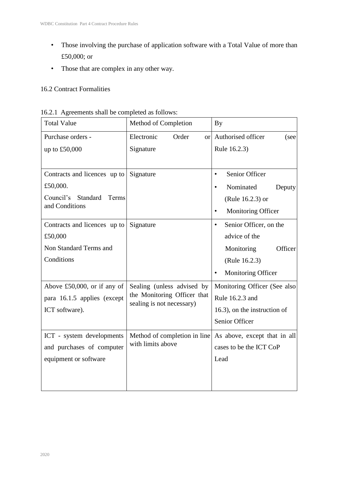- Those involving the purchase of application software with a Total Value of more than £50,000; or
- Those that are complex in any other way.

### 16.2 Contract Formalities

| <b>Total Value</b>                    | Method of Completion                                     | <b>By</b>                           |
|---------------------------------------|----------------------------------------------------------|-------------------------------------|
| Purchase orders -                     | Electronic<br>Order<br><sub>or</sub>                     | Authorised officer<br>(see          |
| up to £50,000                         | Signature                                                | Rule 16.2.3)                        |
|                                       |                                                          |                                     |
| Contracts and licences up to          | Signature                                                | Senior Officer<br>$\bullet$         |
| £50,000.                              |                                                          | Nominated<br>Deputy                 |
| Council's<br>Standard<br><b>Terms</b> |                                                          | (Rule 16.2.3) or                    |
| and Conditions                        |                                                          | Monitoring Officer                  |
| Contracts and licences up to          | Signature                                                | Senior Officer, on the<br>$\bullet$ |
| £50,000                               |                                                          | advice of the                       |
| Non Standard Terms and                |                                                          | Monitoring<br>Officer               |
| Conditions                            |                                                          | (Rule 16.2.3)                       |
|                                       |                                                          | Monitoring Officer                  |
| Above $£50,000$ , or if any of        | Sealing (unless advised by                               | Monitoring Officer (See also        |
| para 16.1.5 applies (except           | the Monitoring Officer that<br>sealing is not necessary) | Rule 16.2.3 and                     |
| ICT software).                        |                                                          | 16.3), on the instruction of        |
|                                       |                                                          | Senior Officer                      |
| ICT - system developments             | Method of completion in line                             | As above, except that in all        |
| and purchases of computer             | with limits above                                        | cases to be the ICT CoP             |
| equipment or software                 |                                                          | Lead                                |
|                                       |                                                          |                                     |
|                                       |                                                          |                                     |

| 16.2.1 Agreements shall be completed as follows: |
|--------------------------------------------------|
|--------------------------------------------------|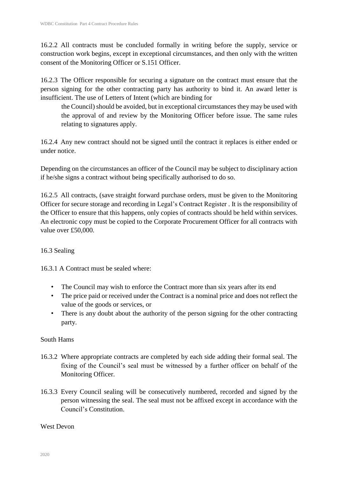16.2.2 All contracts must be concluded formally in writing before the supply, service or construction work begins, except in exceptional circumstances, and then only with the written consent of the Monitoring Officer or S.151 Officer.

16.2.3 The Officer responsible for securing a signature on the contract must ensure that the person signing for the other contracting party has authority to bind it. An award letter is insufficient. The use of Letters of Intent (which are binding for

the Council) should be avoided, but in exceptional circumstances they may be used with the approval of and review by the Monitoring Officer before issue. The same rules relating to signatures apply.

16.2.4 Any new contract should not be signed until the contract it replaces is either ended or under notice.

Depending on the circumstances an officer of the Council may be subject to disciplinary action if he/she signs a contract without being specifically authorised to do so.

16.2.5 All contracts, (save straight forward purchase orders, must be given to the Monitoring Officer for secure storage and recording in Legal's Contract Register . It is the responsibility of the Officer to ensure that this happens, only copies of contracts should be held within services. An electronic copy must be copied to the Corporate Procurement Officer for all contracts with value over £50,000.

### 16.3 Sealing

16.3.1 A Contract must be sealed where:

- The Council may wish to enforce the Contract more than six years after its end
- The price paid or received under the Contract is a nominal price and does not reflect the value of the goods or services, or
- There is any doubt about the authority of the person signing for the other contracting party.

### South Hams

- 16.3.2 Where appropriate contracts are completed by each side adding their formal seal. The fixing of the Council's seal must be witnessed by a further officer on behalf of the Monitoring Officer.
- 16.3.3 Every Council sealing will be consecutively numbered, recorded and signed by the person witnessing the seal. The seal must not be affixed except in accordance with the Council's Constitution.

### West Devon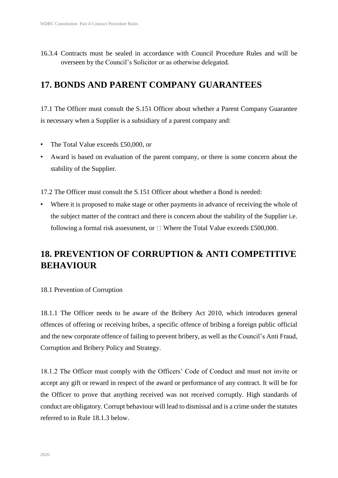16.3.4 Contracts must be sealed in accordance with Council Procedure Rules and will be overseen by the Council's Solicitor or as otherwise delegated.

### **17. BONDS AND PARENT COMPANY GUARANTEES**

17.1 The Officer must consult the S.151 Officer about whether a Parent Company Guarantee is necessary when a Supplier is a subsidiary of a parent company and:

- The Total Value exceeds £50,000, or
- Award is based on evaluation of the parent company, or there is some concern about the stability of the Supplier.

17.2 The Officer must consult the S.151 Officer about whether a Bond is needed:

• Where it is proposed to make stage or other payments in advance of receiving the whole of the subject matter of the contract and there is concern about the stability of the Supplier i.e. following a formal risk assessment, or  $\Box$  Where the Total Value exceeds £500,000.

### **18. PREVENTION OF CORRUPTION & ANTI COMPETITIVE BEHAVIOUR**

18.1 Prevention of Corruption

18.1.1 The Officer needs to be aware of the Bribery Act 2010, which introduces general offences of offering or receiving bribes, a specific offence of bribing a foreign public official and the new corporate offence of failing to prevent bribery, as well as the Council's Anti Fraud, Corruption and Bribery Policy and Strategy.

18.1.2 The Officer must comply with the Officers' Code of Conduct and must not invite or accept any gift or reward in respect of the award or performance of any contract. It will be for the Officer to prove that anything received was not received corruptly. High standards of conduct are obligatory. Corrupt behaviour will lead to dismissal and is a crime under the statutes referred to in Rule 18.1.3 below.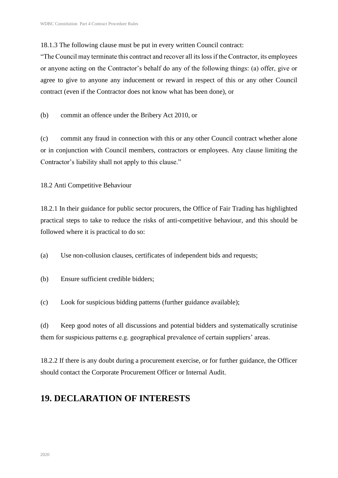18.1.3 The following clause must be put in every written Council contract:

"The Council may terminate this contract and recover all its loss if the Contractor, its employees or anyone acting on the Contractor's behalf do any of the following things: (a) offer, give or agree to give to anyone any inducement or reward in respect of this or any other Council contract (even if the Contractor does not know what has been done), or

(b) commit an offence under the Bribery Act 2010, or

(c) commit any fraud in connection with this or any other Council contract whether alone or in conjunction with Council members, contractors or employees. Any clause limiting the Contractor's liability shall not apply to this clause."

18.2 Anti Competitive Behaviour

18.2.1 In their guidance for public sector procurers, the Office of Fair Trading has highlighted practical steps to take to reduce the risks of anti-competitive behaviour, and this should be followed where it is practical to do so:

(a) Use non-collusion clauses, certificates of independent bids and requests;

- (b) Ensure sufficient credible bidders;
- (c) Look for suspicious bidding patterns (further guidance available);

(d) Keep good notes of all discussions and potential bidders and systematically scrutinise them for suspicious patterns e.g. geographical prevalence of certain suppliers' areas.

18.2.2 If there is any doubt during a procurement exercise, or for further guidance, the Officer should contact the Corporate Procurement Officer or Internal Audit.

### **19. DECLARATION OF INTERESTS**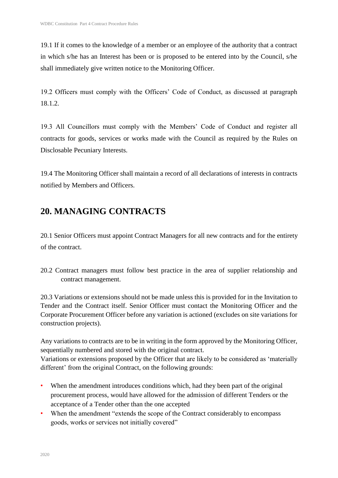19.1 If it comes to the knowledge of a member or an employee of the authority that a contract in which s/he has an Interest has been or is proposed to be entered into by the Council, s/he shall immediately give written notice to the Monitoring Officer.

19.2 Officers must comply with the Officers' Code of Conduct, as discussed at paragraph 18.1.2.

19.3 All Councillors must comply with the Members' Code of Conduct and register all contracts for goods, services or works made with the Council as required by the Rules on Disclosable Pecuniary Interests.

19.4 The Monitoring Officer shall maintain a record of all declarations of interests in contracts notified by Members and Officers.

# **20. MANAGING CONTRACTS**

20.1 Senior Officers must appoint Contract Managers for all new contracts and for the entirety of the contract.

20.2 Contract managers must follow best practice in the area of supplier relationship and contract management.

20.3 Variations or extensions should not be made unless this is provided for in the Invitation to Tender and the Contract itself. Senior Officer must contact the Monitoring Officer and the Corporate Procurement Officer before any variation is actioned (excludes on site variations for construction projects).

Any variations to contracts are to be in writing in the form approved by the Monitoring Officer, sequentially numbered and stored with the original contract. Variations or extensions proposed by the Officer that are likely to be considered as 'materially different' from the original Contract, on the following grounds:

- When the amendment introduces conditions which, had they been part of the original procurement process, would have allowed for the admission of different Tenders or the acceptance of a Tender other than the one accepted
- When the amendment "extends the scope of the Contract considerably to encompass goods, works or services not initially covered"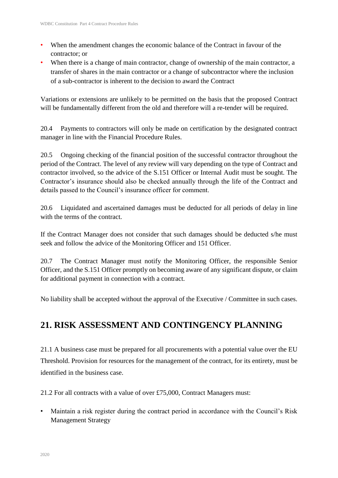- When the amendment changes the economic balance of the Contract in favour of the contractor; or
- When there is a change of main contractor, change of ownership of the main contractor, a transfer of shares in the main contractor or a change of subcontractor where the inclusion of a sub-contractor is inherent to the decision to award the Contract

Variations or extensions are unlikely to be permitted on the basis that the proposed Contract will be fundamentally different from the old and therefore will a re-tender will be required.

20.4 Payments to contractors will only be made on certification by the designated contract manager in line with the Financial Procedure Rules.

20.5 Ongoing checking of the financial position of the successful contractor throughout the period of the Contract. The level of any review will vary depending on the type of Contract and contractor involved, so the advice of the S.151 Officer or Internal Audit must be sought. The Contractor's insurance should also be checked annually through the life of the Contract and details passed to the Council's insurance officer for comment.

20.6 Liquidated and ascertained damages must be deducted for all periods of delay in line with the terms of the contract.

If the Contract Manager does not consider that such damages should be deducted s/he must seek and follow the advice of the Monitoring Officer and 151 Officer.

20.7 The Contract Manager must notify the Monitoring Officer, the responsible Senior Officer, and the S.151 Officer promptly on becoming aware of any significant dispute, or claim for additional payment in connection with a contract.

No liability shall be accepted without the approval of the Executive / Committee in such cases.

# **21. RISK ASSESSMENT AND CONTINGENCY PLANNING**

21.1 A business case must be prepared for all procurements with a potential value over the EU Threshold. Provision for resources for the management of the contract, for its entirety, must be identified in the business case.

21.2 For all contracts with a value of over £75,000, Contract Managers must:

• Maintain a risk register during the contract period in accordance with the Council's Risk Management Strategy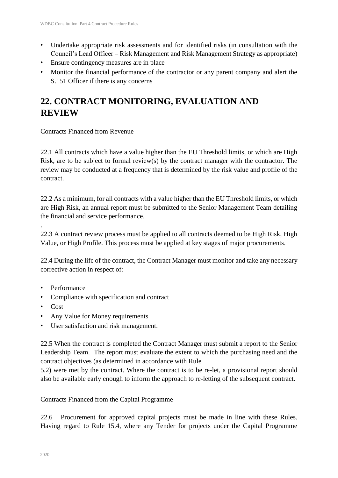- Undertake appropriate risk assessments and for identified risks (in consultation with the Council's Lead Officer – Risk Management and Risk Management Strategy as appropriate)
- Ensure contingency measures are in place
- Monitor the financial performance of the contractor or any parent company and alert the S.151 Officer if there is any concerns

# **22. CONTRACT MONITORING, EVALUATION AND REVIEW**

Contracts Financed from Revenue

22.1 All contracts which have a value higher than the EU Threshold limits, or which are High Risk, are to be subject to formal review(s) by the contract manager with the contractor. The review may be conducted at a frequency that is determined by the risk value and profile of the contract.

22.2 As a minimum, for all contracts with a value higher than the EU Threshold limits, or which are High Risk, an annual report must be submitted to the Senior Management Team detailing the financial and service performance.

22.3 A contract review process must be applied to all contracts deemed to be High Risk, High Value, or High Profile. This process must be applied at key stages of major procurements.

22.4 During the life of the contract, the Contract Manager must monitor and take any necessary corrective action in respect of:

- Performance
- Compliance with specification and contract
- Cost

.

- Any Value for Money requirements
- User satisfaction and risk management.

22.5 When the contract is completed the Contract Manager must submit a report to the Senior Leadership Team. The report must evaluate the extent to which the purchasing need and the contract objectives (as determined in accordance with Rule

5.2) were met by the contract. Where the contract is to be re-let, a provisional report should also be available early enough to inform the approach to re-letting of the subsequent contract.

Contracts Financed from the Capital Programme

22.6 Procurement for approved capital projects must be made in line with these Rules. Having regard to Rule 15.4, where any Tender for projects under the Capital Programme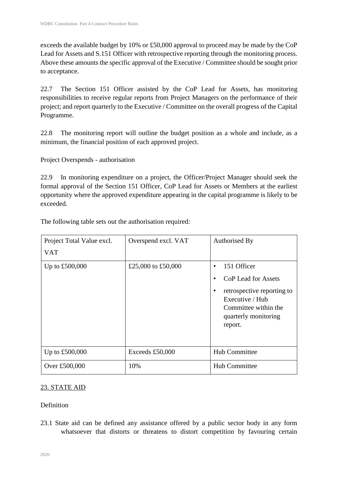exceeds the available budget by 10% or £50,000 approval to proceed may be made by the CoP Lead for Assets and S.151 Officer with retrospective reporting through the monitoring process. Above these amounts the specific approval of the Executive / Committee should be sought prior to acceptance.

22.7 The Section 151 Officer assisted by the CoP Lead for Assets, has monitoring responsibilities to receive regular reports from Project Managers on the performance of their project; and report quarterly to the Executive / Committee on the overall progress of the Capital Programme.

22.8 The monitoring report will outline the budget position as a whole and include, as a minimum, the financial position of each approved project.

Project Overspends - authorisation

22.9 In monitoring expenditure on a project, the Officer/Project Manager should seek the formal approval of the Section 151 Officer, CoP Lead for Assets or Members at the earliest opportunity where the approved expenditure appearing in the capital programme is likely to be exceeded.

The following table sets out the authorisation required:

| Project Total Value excl.<br><b>VAT</b> | Overspend excl. VAT | Authorised By                                                                                                                                                    |
|-----------------------------------------|---------------------|------------------------------------------------------------------------------------------------------------------------------------------------------------------|
| Up to $£500,000$                        | £25,000 to £50,000  | 151 Officer<br>$\bullet$<br>CoP Lead for Assets<br>retrospective reporting to<br>٠<br>Executive / Hub<br>Committee within the<br>quarterly monitoring<br>report. |
| Up to $£500,000$                        | Exceeds £50,000     | Hub Committee                                                                                                                                                    |
| Over £500,000                           | 10%                 | Hub Committee                                                                                                                                                    |

### 23. STATE AID

### **Definition**

23.1 State aid can be defined any assistance offered by a public sector body in any form whatsoever that distorts or threatens to distort competition by favouring certain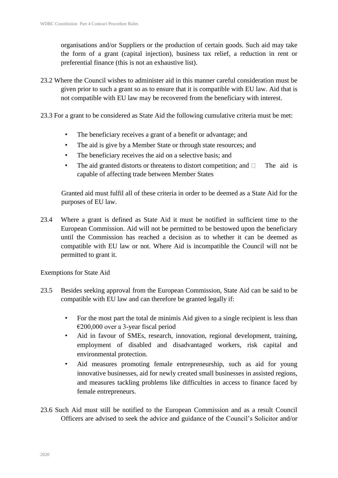organisations and/or Suppliers or the production of certain goods. Such aid may take the form of a grant (capital injection), business tax relief, a reduction in rent or preferential finance (this is not an exhaustive list).

- 23.2 Where the Council wishes to administer aid in this manner careful consideration must be given prior to such a grant so as to ensure that it is compatible with EU law. Aid that is not compatible with EU law may be recovered from the beneficiary with interest.
- 23.3 For a grant to be considered as State Aid the following cumulative criteria must be met:
	- The beneficiary receives a grant of a benefit or advantage; and
	- The aid is give by a Member State or through state resources; and
	- The beneficiary receives the aid on a selective basis; and
	- The aid granted distorts or threatens to distort competition; and  $\Box$  The aid is capable of affecting trade between Member States

Granted aid must fulfil all of these criteria in order to be deemed as a State Aid for the purposes of EU law.

23.4 Where a grant is defined as State Aid it must be notified in sufficient time to the European Commission. Aid will not be permitted to be bestowed upon the beneficiary until the Commission has reached a decision as to whether it can be deemed as compatible with EU law or not. Where Aid is incompatible the Council will not be permitted to grant it.

Exemptions for State Aid

- 23.5 Besides seeking approval from the European Commission, State Aid can be said to be compatible with EU law and can therefore be granted legally if:
	- For the most part the total de minimis Aid given to a single recipient is less than €200,000 over a 3-year fiscal period
	- Aid in favour of SMEs, research, innovation, regional development, training, employment of disabled and disadvantaged workers, risk capital and environmental protection.
	- Aid measures promoting female entrepreneurship, such as aid for young innovative businesses, aid for newly created small businesses in assisted regions, and measures tackling problems like difficulties in access to finance faced by female entrepreneurs.
- 23.6 Such Aid must still be notified to the European Commission and as a result Council Officers are advised to seek the advice and guidance of the Council's Solicitor and/or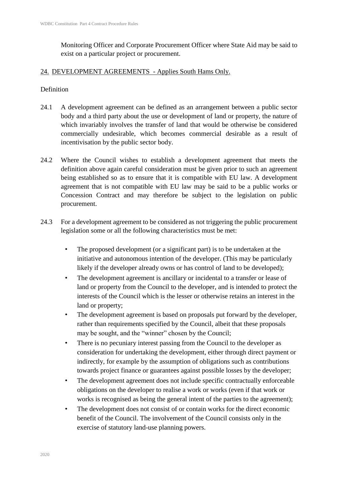Monitoring Officer and Corporate Procurement Officer where State Aid may be said to exist on a particular project or procurement.

### 24. DEVELOPMENT AGREEMENTS - Applies South Hams Only.

### **Definition**

- 24.1 A development agreement can be defined as an arrangement between a public sector body and a third party about the use or development of land or property, the nature of which invariably involves the transfer of land that would be otherwise be considered commercially undesirable, which becomes commercial desirable as a result of incentivisation by the public sector body.
- 24.2 Where the Council wishes to establish a development agreement that meets the definition above again careful consideration must be given prior to such an agreement being established so as to ensure that it is compatible with EU law. A development agreement that is not compatible with EU law may be said to be a public works or Concession Contract and may therefore be subject to the legislation on public procurement.
- 24.3 For a development agreement to be considered as not triggering the public procurement legislation some or all the following characteristics must be met:
	- The proposed development (or a significant part) is to be undertaken at the initiative and autonomous intention of the developer. (This may be particularly likely if the developer already owns or has control of land to be developed);
	- The development agreement is ancillary or incidental to a transfer or lease of land or property from the Council to the developer, and is intended to protect the interests of the Council which is the lesser or otherwise retains an interest in the land or property;
	- The development agreement is based on proposals put forward by the developer, rather than requirements specified by the Council, albeit that these proposals may be sought, and the "winner" chosen by the Council;
	- There is no pecuniary interest passing from the Council to the developer as consideration for undertaking the development, either through direct payment or indirectly, for example by the assumption of obligations such as contributions towards project finance or guarantees against possible losses by the developer;
	- The development agreement does not include specific contractually enforceable obligations on the developer to realise a work or works (even if that work or works is recognised as being the general intent of the parties to the agreement);
	- The development does not consist of or contain works for the direct economic benefit of the Council. The involvement of the Council consists only in the exercise of statutory land-use planning powers.